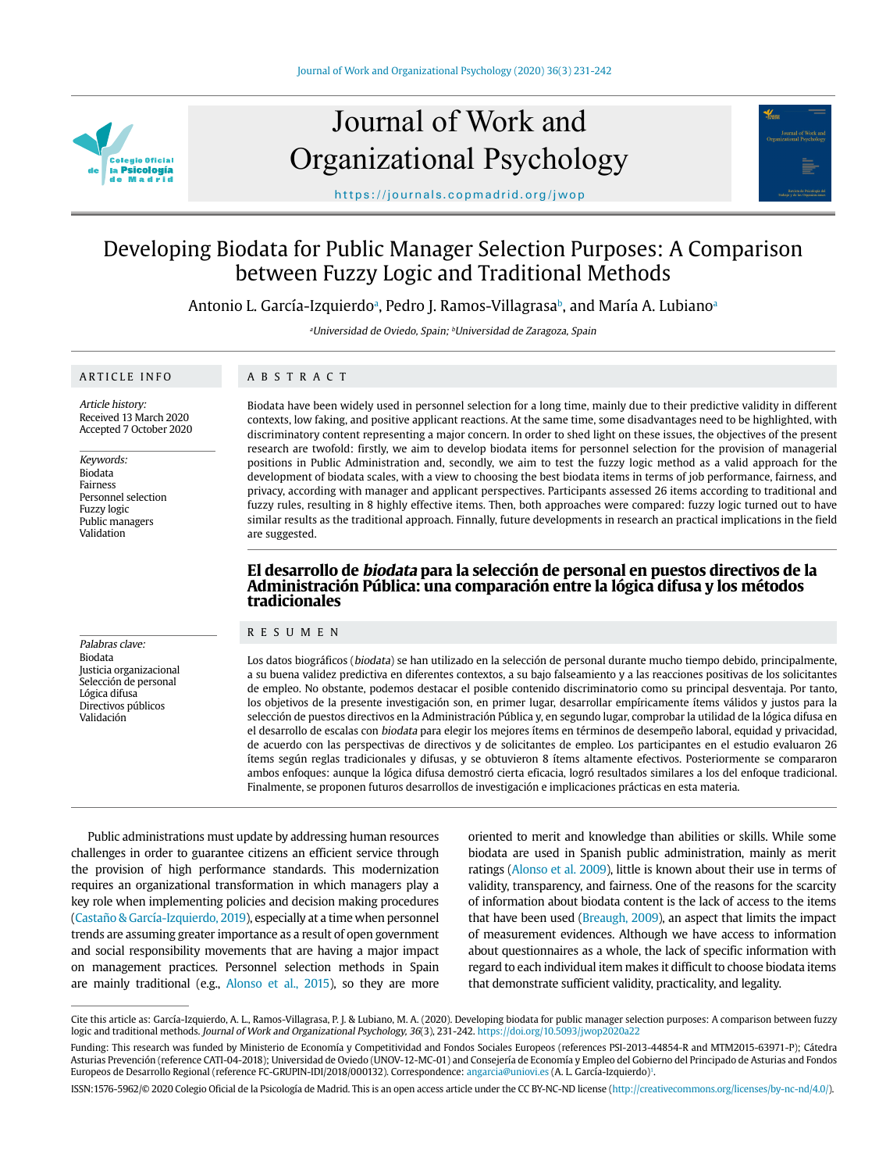

## Journal of Work and Organizational Psychology



https://journals.copmadrid.org/jwop

### Developing Biodata for Public Manager Selection Purposes: A Comparison between Fuzzy Logic and Traditional Methods

Antonio L. García-Izquierdoª, Pedro J. Ramos-Villagrasaʰ, and María A. Lubianoª

<sup>a</sup>Universidad de Oviedo, Spain; <sup>b</sup>Universidad de Zaragoza, Spain

#### ARTICLE INFO

ABSTRACT

Article history: Received 13 March 2020 Accepted 7 October 2020

Keywords: Biodata Fairness Personnel selection Fuzzy logic Public managers Validation

Palabras clave: Biodata Justicia organizacional Selección de personal Lógica difusa Directivos públicos Validación

Biodata have been widely used in personnel selection for a long time, mainly due to their predictive validity in different contexts, low faking, and positive applicant reactions. At the same time, some disadvantages need to be highlighted, with discriminatory content representing a major concern. In order to shed light on these issues, the objectives of the present research are twofold: firstly, we aim to develop biodata items for personnel selection for the provision of managerial positions in Public Administration and, secondly, we aim to test the fuzzy logic method as a valid approach for the development of biodata scales, with a view to choosing the best biodata items in terms of job performance, fairness, and privacy, according with manager and applicant perspectives. Participants assessed 26 items according to traditional and fuzzy rules, resulting in 8 highly effective items. Then, both approaches were compared: fuzzy logic turned out to have similar results as the traditional approach. Finnally, future developments in research an practical implications in the field are suggested.

# **El desarrollo de biodata para la selección de personal en puestos directivos de la Administración Pública: una comparación entre la lógica difusa y los métodos tradicionales**

#### RESUMEN

Los datos biográficos (biodata) se han utilizado en la selección de personal durante mucho tiempo debido, principalmente, a su buena validez predictiva en diferentes contextos, a su bajo falseamiento y a las reacciones positivas de los solicitantes de empleo. No obstante, podemos destacar el posible contenido discriminatorio como su principal desventaja. Por tanto, los objetivos de la presente investigación son, en primer lugar, desarrollar empíricamente ítems válidos y justos para la selección de puestos directivos en la Administración Pública y, en segundo lugar, comprobar la utilidad de la lógica difusa en el desarrollo de escalas con biodata para elegir los mejores ítems en términos de desempeño laboral, equidad y privacidad, de acuerdo con las perspectivas de directivos y de solicitantes de empleo. Los participantes en el estudio evaluaron 26 ítems según reglas tradicionales y difusas, y se obtuvieron 8 ítems altamente efectivos. Posteriormente se compararon ambos enfoques: aunque la lógica difusa demostró cierta eficacia, logró resultados similares a los del enfoque tradicional. Finalmente, se proponen futuros desarrollos de investigación e implicaciones prácticas en esta materia.

Public administrations must update by addressing human resources challenges in order to guarantee citizens an efficient service through the provision of high performance standards. This modernization requires an organizational transformation in which managers play a key role when implementing policies and decision making procedures [\(Castaño & García-Izquierdo, 2019\)](#page-9-0), especially at a time when personnel trends are assuming greater importance as a result of open government and social responsibility movements that are having a major impact on management practices. Personnel selection methods in Spain are mainly traditional (e.g., [Alonso et al., 2015](#page-9-1)), so they are more

oriented to merit and knowledge than abilities or skills. While some biodata are used in Spanish public administration, mainly as merit ratings [\(Alonso et al. 2009\)](#page-9-1), little is known about their use in terms of validity, transparency, and fairness. One of the reasons for the scarcity of information about biodata content is the lack of access to the items that have been used ([Breaugh, 2009](#page-9-2)), an aspect that limits the impact of measurement evidences. Although we have access to information about questionnaires as a whole, the lack of specific information with regard to each individual item makes it difficult to choose biodata items that demonstrate sufficient validity, practicality, and legality.

Cite this article as: García-Izquierdo, A. L., Ramos-Villagrasa, P. J. & Lubiano, M. A. (2020). Developing biodata for public manager selection purposes: A comparison between fuzzy logic and traditional methods. Journal of Work and Organizational Psychology, 36(3), 231-242. https://doi.org/10.5093/jwop2020a22

Funding: This research was funded by Ministerio de Economía y Competitividad and Fondos Sociales Europeos (references PSI-2013-44854-R and MTM2015-63971-P); Cátedra Asturias Prevención (reference CATI-04-2018); Universidad de Oviedo (UNOV-12-MC-01) and Consejería de Economía y Empleo del Gobierno del Principado de Asturias and Fondos Europeos de Desarrollo Regional (reference FC-GRUPIN-IDI/2018/000132). Correspondence: angarcia@uniovi.es (A. L. García-Izquierdo)1 .

ISSN:1576-5962/© 2020 Colegio Oficial de la Psicología de Madrid. This is an open access article under the CC BY-NC-ND license (http://creativecommons.org/licenses/by-nc-nd/4.0/).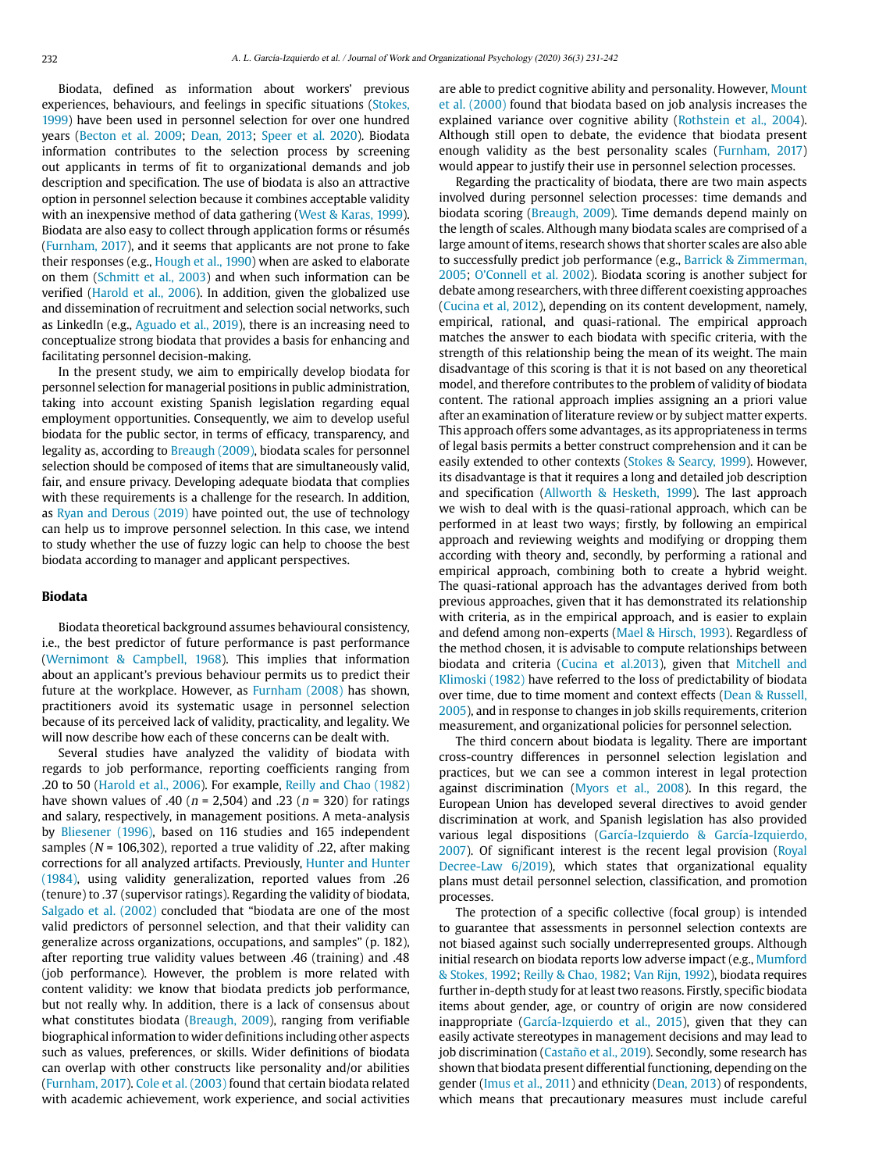Biodata, defined as information about workers' previous experiences, behaviours, and feelings in specific situations ([Stokes,](#page-10-0)  [1999](#page-10-0)) have been used in personnel selection for over one hundred years ([Becton et al. 2009](#page-9-3); [Dean, 2013](#page-9-4); [Speer et al. 2020](#page-10-1)). Biodata information contributes to the selection process by screening out applicants in terms of fit to organizational demands and job description and specification. The use of biodata is also an attractive option in personnel selection because it combines acceptable validity with an inexpensive method of data gathering ([West & Karas, 1999](#page-10-2)). Biodata are also easy to collect through application forms or résumés [\(Furnham, 2017\)](#page-9-5), and it seems that applicants are not prone to fake their responses (e.g., [Hough et al., 1990](#page-9-6)) when are asked to elaborate on them [\(Schmitt et al., 2003\)](#page-10-3) and when such information can be verified [\(Harold et al., 2006\)](#page-9-7). In addition, given the globalized use and dissemination of recruitment and selection social networks, such as LinkedIn (e.g., [Aguado et al., 2019\)](#page-8-0), there is an increasing need to conceptualize strong biodata that provides a basis for enhancing and facilitating personnel decision-making.

In the present study, we aim to empirically develop biodata for personnel selection for managerial positions in public administration, taking into account existing Spanish legislation regarding equal employment opportunities. Consequently, we aim to develop useful biodata for the public sector, in terms of efficacy, transparency, and legality as, according to [Breaugh \(2009\)](#page-9-2), biodata scales for personnel selection should be composed of items that are simultaneously valid, fair, and ensure privacy. Developing adequate biodata that complies with these requirements is a challenge for the research. In addition, as [Ryan and Derous \(2019\)](#page-10-4) have pointed out, the use of technology can help us to improve personnel selection. In this case, we intend to study whether the use of fuzzy logic can help to choose the best biodata according to manager and applicant perspectives.

#### **Biodata**

Biodata theoretical background assumes behavioural consistency, i.e., the best predictor of future performance is past performance [\(Wernimont & Campbell, 1968](#page-10-5)). This implies that information about an applicant's previous behaviour permits us to predict their future at the workplace. However, as [Furnham \(2008\) h](#page-9-5)as shown, practitioners avoid its systematic usage in personnel selection because of its perceived lack of validity, practicality, and legality. We will now describe how each of these concerns can be dealt with.

Several studies have analyzed the validity of biodata with regards to job performance, reporting coefficients ranging from .20 to 50 ([Harold et al., 2006\)](#page-9-7). For example, [Reilly and Chao \(1982\)](#page-10-6) have shown values of .40 ( $n = 2,504$ ) and .23 ( $n = 320$ ) for ratings and salary, respectively, in management positions. A meta-analysis by [Bliesener \(1996\)](#page-9-8), based on 116 studies and 165 independent samples ( $N = 106,302$ ), reported a true validity of .22, after making corrections for all analyzed artifacts. Previously, [Hunter and Hunter](#page-9-9)  [\(1984\)](#page-9-9), using validity generalization, reported values from .26 (tenure) to .37 (supervisor ratings). Regarding the validity of biodata, [Salgado et al. \(2002\)](#page-10-7) concluded that "biodata are one of the most valid predictors of personnel selection, and that their validity can generalize across organizations, occupations, and samples" (p. 182), after reporting true validity values between .46 (training) and .48 (job performance). However, the problem is more related with content validity: we know that biodata predicts job performance, but not really why. In addition, there is a lack of consensus about what constitutes biodata [\(Breaugh, 2009\)](#page-9-2), ranging from verifiable biographical information to wider definitions including other aspects such as values, preferences, or skills. Wider definitions of biodata can overlap with other constructs like personality and/or abilities [\(Furnham, 2017\)](#page-9-5). [Cole et al. \(2003\)](#page-9-10) found that certain biodata related with academic achievement, work experience, and social activities are able to predict cognitive ability and personality. However, [Mount](#page-10-8) [et al. \(2000\) f](#page-10-8)ound that biodata based on job analysis increases the explained variance over cognitive ability ([Rothstein et al., 2004](#page-10-9)). Although still open to debate, the evidence that biodata present enough validity as the best personality scales ([Furnham, 2017](#page-9-5)) would appear to justify their use in personnel selection processes.

Regarding the practicality of biodata, there are two main aspects involved during personnel selection processes: time demands and biodata scoring [\(Breaugh, 2009\)](#page-9-2). Time demands depend mainly on the length of scales. Although many biodata scales are comprised of a large amount of items, research shows that shorter scales are also able to successfully predict job performance (e.g., [Barrick & Zimmerman,](#page-9-11) [2005](#page-9-11); [O'Connell et al. 2002\)](#page-10-10). Biodata scoring is another subject for debate among researchers, with three different coexisting approaches ([Cucina et al, 2012](#page-9-12)), depending on its content development, namely, empirical, rational, and quasi-rational. The empirical approach matches the answer to each biodata with specific criteria, with the strength of this relationship being the mean of its weight. The main disadvantage of this scoring is that it is not based on any theoretical model, and therefore contributes to the problem of validity of biodata content. The rational approach implies assigning an a priori value after an examination of literature review or by subject matter experts. This approach offers some advantages, as its appropriateness in terms of legal basis permits a better construct comprehension and it can be easily extended to other contexts ([Stokes & Searcy, 1999\)](#page-10-0). However, its disadvantage is that it requires a long and detailed job description and specification [\(Allworth & Hesketh, 1999](#page-9-13)). The last approach we wish to deal with is the quasi-rational approach, which can be performed in at least two ways; firstly, by following an empirical approach and reviewing weights and modifying or dropping them according with theory and, secondly, by performing a rational and empirical approach, combining both to create a hybrid weight. The quasi-rational approach has the advantages derived from both previous approaches, given that it has demonstrated its relationship with criteria, as in the empirical approach, and is easier to explain and defend among non-experts [\(Mael & Hirsch, 1993\)](#page-10-11). Regardless of the method chosen, it is advisable to compute relationships between biodata and criteria ([Cucina et al.2013\)](#page-9-12), given that [Mitchell and](#page-10-12) [Klimoski \(1982\)](#page-10-12) have referred to the loss of predictability of biodata over time, due to time moment and context effects ([Dean & Russell,](#page-9-4) [2005](#page-9-4)), and in response to changes in job skills requirements, criterion measurement, and organizational policies for personnel selection.

The third concern about biodata is legality. There are important cross-country differences in personnel selection legislation and practices, but we can see a common interest in legal protection against discrimination [\(Myors et al., 2008\)](#page-10-13). In this regard, the European Union has developed several directives to avoid gender discrimination at work, and Spanish legislation has also provided various legal dispositions [\(García-Izquierdo & García-Izquierdo,](#page-9-14) [2007](#page-9-14)). Of significant interest is the recent legal provision [\(Royal](#page-10-14) [Decree-Law 6/2019\)](#page-10-14), which states that organizational equality plans must detail personnel selection, classification, and promotion processes.

The protection of a specific collective (focal group) is intended to guarantee that assessments in personnel selection contexts are not biased against such socially underrepresented groups. Although initial research on biodata reports low adverse impact (e.g., [Mumford](#page-10-15) [& Stokes, 1992](#page-10-15); [Reilly & Chao, 1982;](#page-10-6) [Van Rijn, 1992](#page-10-16)), biodata requires further in-depth study for at least two reasons. Firstly, specific biodata items about gender, age, or country of origin are now considered inappropriate ([García-Izquierdo et al., 2015](#page-9-14)), given that they can easily activate stereotypes in management decisions and may lead to job discrimination [\(Castaño et al., 2019\)](#page-9-0). Secondly, some research has shown that biodata present differential functioning, depending on the gender [\(Imus et al., 2011\)](#page-9-15) and ethnicity [\(Dean, 2013\)](#page-9-4) of respondents, which means that precautionary measures must include careful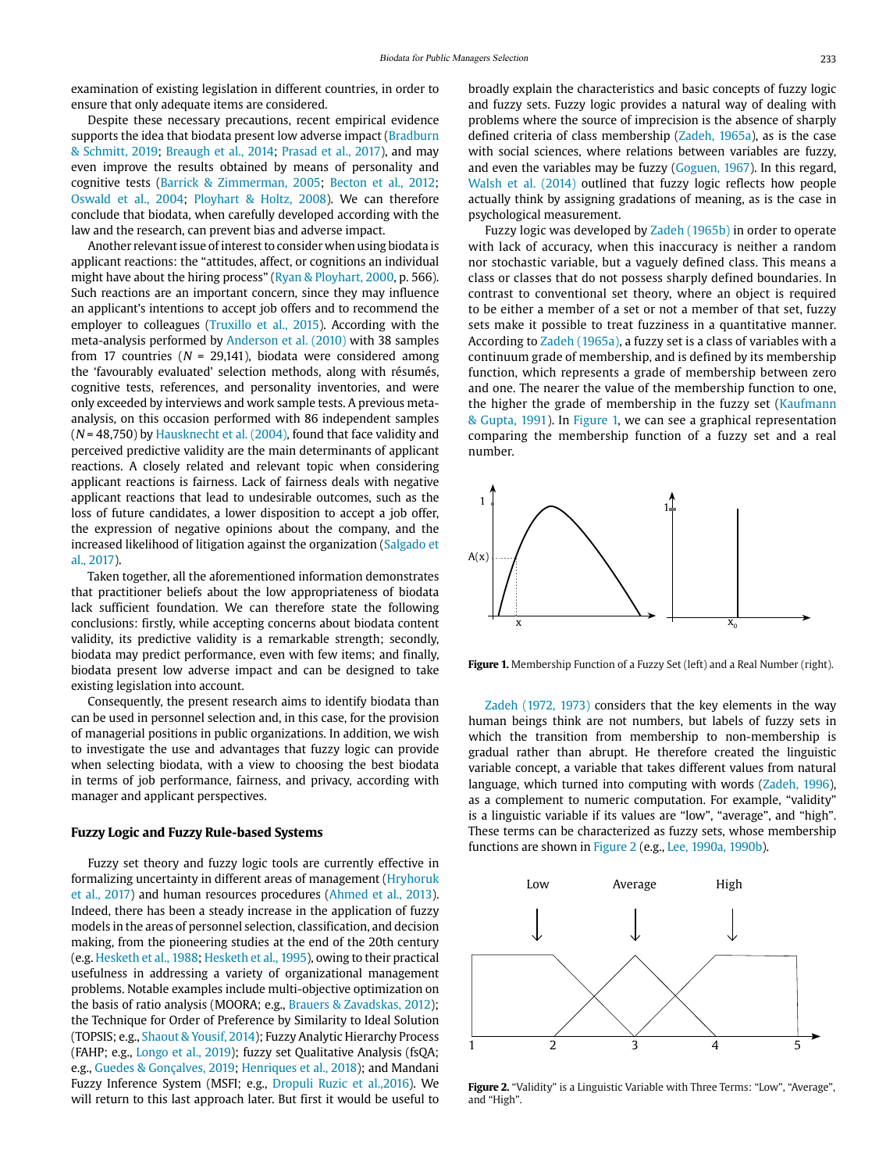examination of existing legislation in different countries, in order to ensure that only adequate items are considered.

Despite these necessary precautions, recent empirical evidence supports the idea that biodata present low adverse impact (Bradburn & Schmitt, 2019; Breaugh et al., 2014; [Prasad et al., 2017\)](#page-10-17), and may even improve the results obtained by means of personality and cognitive tests ([Barrick & Zimmerman, 2005](#page-9-11); [Becton et al., 2012;](#page-9-3) [Oswald et al., 2004](#page-10-18); [Ployhart & Holtz, 2008](#page-10-19)). We can therefore conclude that biodata, when carefully developed according with the law and the research, can prevent bias and adverse impact.

Another relevant issue of interest to consider when using biodata is applicant reactions: the "attitudes, affect, or cognitions an individual might have about the hiring process" [\(Ryan & Ployhart, 2000,](#page-10-4) p. 566). Such reactions are an important concern, since they may influence an applicant's intentions to accept job offers and to recommend the employer to colleagues [\(Truxillo et al., 2015](#page-10-20)). According with the meta-analysis performed by [Anderson et al. \(2010\) w](#page-9-16)ith 38 samples from 17 countries ( $N = 29,141$ ), biodata were considered among the 'favourably evaluated' selection methods, along with résumés, cognitive tests, references, and personality inventories, and were only exceeded by interviews and work sample tests. A previous metaanalysis, on this occasion performed with 86 independent samples  $(N = 48,750)$  by Hausknecht et al.  $(2004)$ , found that face validity and perceived predictive validity are the main determinants of applicant reactions. A closely related and relevant topic when considering applicant reactions is fairness. Lack of fairness deals with negative applicant reactions that lead to undesirable outcomes, such as the loss of future candidates, a lower disposition to accept a job offer, the expression of negative opinions about the company, and the increased likelihood of litigation against the organization [\(Salgado et](#page-10-7)  [al., 2017\)](#page-10-7).

Taken together, all the aforementioned information demonstrates that practitioner beliefs about the low appropriateness of biodata lack sufficient foundation. We can therefore state the following conclusions: firstly, while accepting concerns about biodata content validity, its predictive validity is a remarkable strength; secondly, biodata may predict performance, even with few items; and finally, biodata present low adverse impact and can be designed to take existing legislation into account.

Consequently, the present research aims to identify biodata than can be used in personnel selection and, in this case, for the provision of managerial positions in public organizations. In addition, we wish to investigate the use and advantages that fuzzy logic can provide when selecting biodata, with a view to choosing the best biodata in terms of job performance, fairness, and privacy, according with manager and applicant perspectives.

#### **Fuzzy Logic and Fuzzy Rule-based Systems**

Fuzzy set theory and fuzzy logic tools are currently effective in formalizing uncertainty in different areas of management [\(Hryhoruk](#page-9-18)  [et al., 2017](#page-9-18)) and human resources procedures [\(Ahmed et al., 2013\)](#page-9-19). Indeed, there has been a steady increase in the application of fuzzy models in the areas of personnel selection, classification, and decision making, from the pioneering studies at the end of the 20th century (e.g. [Hesketh et al., 1988](#page-9-20); [Hesketh et al., 1995\)](#page-9-20), owing to their practical usefulness in addressing a variety of organizational management problems. Notable examples include multi-objective optimization on the basis of ratio analysis (MOORA; e.g., Brauers & Zavadskas, 2012); the Technique for Order of Preference by Similarity to Ideal Solution (TOPSIS; e.g., [Shaout & Yousif, 2014\)](#page-10-21); Fuzzy Analytic Hierarchy Process (FAHP; e.g., [Longo et al., 2019](#page-10-22)); fuzzy set Qualitative Analysis (fsQA; e.g., [Guedes & Gonçalves, 2019](#page-9-21); [Henriques et al., 2018\)](#page-9-22); and Mandani Fuzzy Inference System (MSFI; e.g., [Dropuli Ruzic et al.,2016](#page-9-23)). We will return to this last approach later. But first it would be useful to broadly explain the characteristics and basic concepts of fuzzy logic and fuzzy sets. Fuzzy logic provides a natural way of dealing with problems where the source of imprecision is the absence of sharply defined criteria of class membership [\(Zadeh, 1965a](#page-10-23)), as is the case with social sciences, where relations between variables are fuzzy, and even the variables may be fuzzy [\(Goguen, 1967](#page-9-24)). In this regard, [Walsh et al. \(2014\)](#page-10-24) outlined that fuzzy logic reflects how people actually think by assigning gradations of meaning, as is the case in psychological measurement.

Fuzzy logic was developed by [Zadeh \(1965b\)](#page-10-23) in order to operate with lack of accuracy, when this inaccuracy is neither a random nor stochastic variable, but a vaguely defined class. This means a class or classes that do not possess sharply defined boundaries. In contrast to conventional set theory, where an object is required to be either a member of a set or not a member of that set, fuzzy sets make it possible to treat fuzziness in a quantitative manner. According to [Zadeh \(1965a\),](#page-10-23) a fuzzy set is a class of variables with a continuum grade of membership, and is defined by its membership function, which represents a grade of membership between zero and one. The nearer the value of the membership function to one, the higher the grade of membership in the fuzzy set [\(Kaufmann](#page-9-25)  [& Gupta, 1991\)](#page-9-25). In [Figure 1,](#page-2-0) we can see a graphical representation comparing the membership function of a fuzzy set and a real number.



<span id="page-2-0"></span>**Figure 1.** Membership Function of a Fuzzy Set (left) and a Real Number (right).

[Zadeh \(1972, 1973\)](#page-10-23) considers that the key elements in the way human beings think are not numbers, but labels of fuzzy sets in which the transition from membership to non-membership is gradual rather than abrupt. He therefore created the linguistic variable concept, a variable that takes different values from natural language, which turned into computing with words [\(Zadeh, 1996](#page-10-23)), as a complement to numeric computation. For example, "validity" is a linguistic variable if its values are "low", "average", and "high". These terms can be characterized as fuzzy sets, whose membership functions are shown in [Figure 2](#page-2-1) (e.g., [Lee, 1990a, 1990b\)](#page-9-26).



<span id="page-2-1"></span>**Figure 2.** "Validity" is a Linguistic Variable with Three Terms: "Low", "Average", and "High".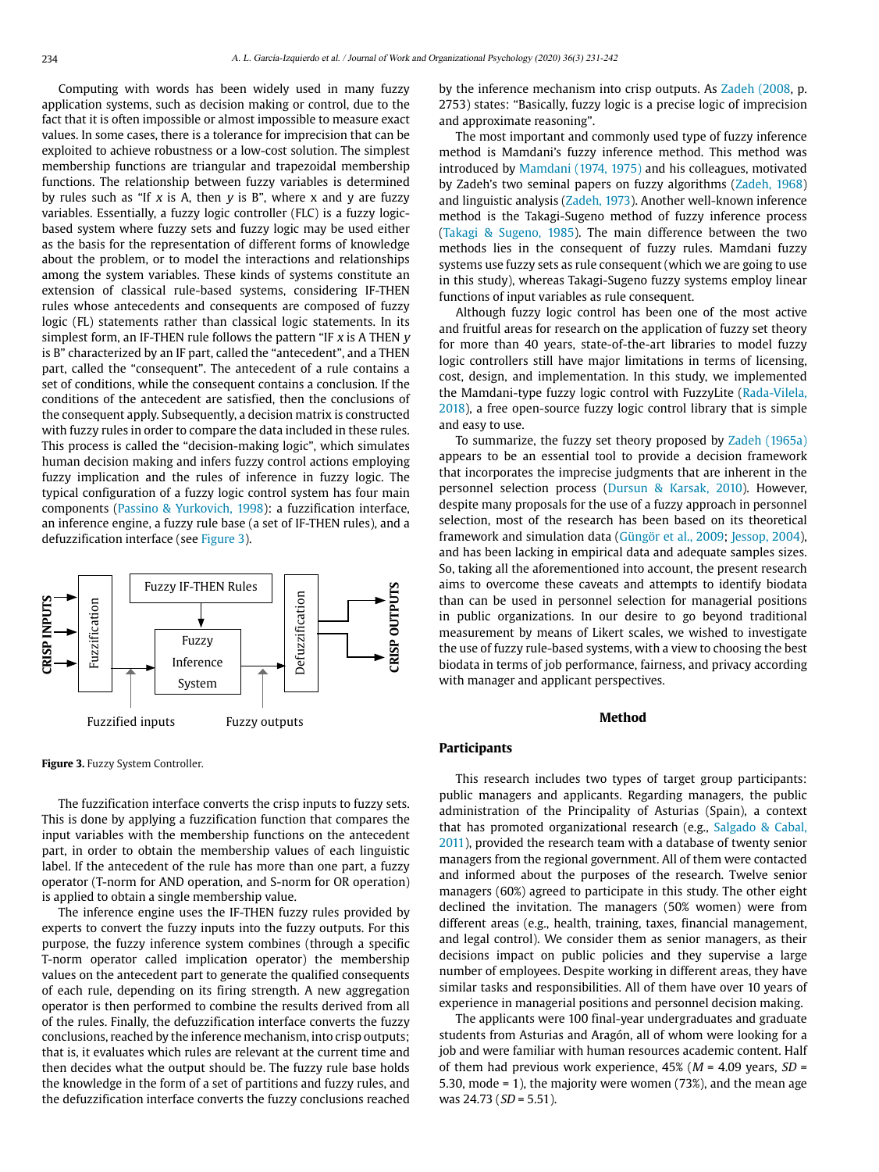Computing with words has been widely used in many fuzzy application systems, such as decision making or control, due to the fact that it is often impossible or almost impossible to measure exact values. In some cases, there is a tolerance for imprecision that can be exploited to achieve robustness or a low-cost solution. The simplest membership functions are triangular and trapezoidal membership functions. The relationship between fuzzy variables is determined by rules such as "If x is A, then  $y$  is B", where x and  $y$  are fuzzy variables. Essentially, a fuzzy logic controller (FLC) is a fuzzy logicbased system where fuzzy sets and fuzzy logic may be used either as the basis for the representation of different forms of knowledge about the problem, or to model the interactions and relationships among the system variables. These kinds of systems constitute an extension of classical rule-based systems, considering IF-THEN rules whose antecedents and consequents are composed of fuzzy logic (FL) statements rather than classical logic statements. In its simplest form, an IF-THEN rule follows the pattern "IF  $x$  is A THEN  $y$ is B" characterized by an IF part, called the "antecedent", and a THEN part, called the "consequent". The antecedent of a rule contains a set of conditions, while the consequent contains a conclusion. If the conditions of the antecedent are satisfied, then the conclusions of the consequent apply. Subsequently, a decision matrix is constructed with fuzzy rules in order to compare the data included in these rules. This process is called the "decision-making logic", which simulates human decision making and infers fuzzy control actions employing fuzzy implication and the rules of inference in fuzzy logic. The typical configuration of a fuzzy logic control system has four main components (Passino & Yurkovich, 1998): a fuzzification interface, an inference engine, a fuzzy rule base (a set of IF-THEN rules), and a defuzzification interface (see [Figure 3\)](#page-3-0).



<span id="page-3-0"></span>**Figure 3.** Fuzzy System Controller.

The fuzzification interface converts the crisp inputs to fuzzy sets. This is done by applying a fuzzification function that compares the input variables with the membership functions on the antecedent part, in order to obtain the membership values of each linguistic label. If the antecedent of the rule has more than one part, a fuzzy operator (T-norm for AND operation, and S-norm for OR operation) is applied to obtain a single membership value.

The inference engine uses the IF-THEN fuzzy rules provided by experts to convert the fuzzy inputs into the fuzzy outputs. For this purpose, the fuzzy inference system combines (through a specific T-norm operator called implication operator) the membership values on the antecedent part to generate the qualified consequents of each rule, depending on its firing strength. A new aggregation operator is then performed to combine the results derived from all of the rules. Finally, the defuzzification interface converts the fuzzy conclusions, reached by the inference mechanism, into crisp outputs; that is, it evaluates which rules are relevant at the current time and then decides what the output should be. The fuzzy rule base holds the knowledge in the form of a set of partitions and fuzzy rules, and the defuzzification interface converts the fuzzy conclusions reached by the inference mechanism into crisp outputs. As [Zadeh \(2008,](#page-10-23) p. 2753) states: "Basically, fuzzy logic is a precise logic of imprecision and approximate reasoning".

The most important and commonly used type of fuzzy inference method is Mamdani's fuzzy inference method. This method was introduced by [Mamdani \(1974, 1975\)](#page-10-25) and his colleagues, motivated by Zadeh's two seminal papers on fuzzy algorithms ([Zadeh, 1968](#page-10-23)) and linguistic analysis ([Zadeh, 1973\)](#page-10-23). Another well-known inference method is the Takagi-Sugeno method of fuzzy inference process ([Takagi & Sugeno, 1985](#page-10-26)). The main difference between the two methods lies in the consequent of fuzzy rules. Mamdani fuzzy systems use fuzzy sets as rule consequent (which we are going to use in this study), whereas Takagi-Sugeno fuzzy systems employ linear functions of input variables as rule consequent.

Although fuzzy logic control has been one of the most active and fruitful areas for research on the application of fuzzy set theory for more than 40 years, state-of-the-art libraries to model fuzzy logic controllers still have major limitations in terms of licensing, cost, design, and implementation. In this study, we implemented the Mamdani-type fuzzy logic control with FuzzyLite [\(Rada-Vilela,](#page-10-27) [2018](#page-10-27)), a free open-source fuzzy logic control library that is simple and easy to use.

To summarize, the fuzzy set theory proposed by [Zadeh \(1965a\)](#page-10-23) appears to be an essential tool to provide a decision framework that incorporates the imprecise judgments that are inherent in the personnel selection process [\(Dursun & Karsak, 2010](#page-9-27)). However, despite many proposals for the use of a fuzzy approach in personnel selection, most of the research has been based on its theoretical framework and simulation data ([Güngör et al., 2009;](#page-9-28) [Jessop, 2004](#page-9-29)), and has been lacking in empirical data and adequate samples sizes. So, taking all the aforementioned into account, the present research aims to overcome these caveats and attempts to identify biodata than can be used in personnel selection for managerial positions in public organizations. In our desire to go beyond traditional measurement by means of Likert scales, we wished to investigate the use of fuzzy rule-based systems, with a view to choosing the best biodata in terms of job performance, fairness, and privacy according with manager and applicant perspectives.

#### **Method**

#### **Participants**

This research includes two types of target group participants: public managers and applicants. Regarding managers, the public administration of the Principality of Asturias (Spain), a context that has promoted organizational research (e.g., [Salgado & Cabal,](#page-10-7) [2011](#page-10-7)), provided the research team with a database of twenty senior managers from the regional government. All of them were contacted and informed about the purposes of the research. Twelve senior managers (60%) agreed to participate in this study. The other eight declined the invitation. The managers (50% women) were from different areas (e.g., health, training, taxes, financial management, and legal control). We consider them as senior managers, as their decisions impact on public policies and they supervise a large number of employees. Despite working in different areas, they have similar tasks and responsibilities. All of them have over 10 years of experience in managerial positions and personnel decision making.

The applicants were 100 final-year undergraduates and graduate students from Asturias and Aragón, all of whom were looking for a job and were familiar with human resources academic content. Half of them had previous work experience,  $45\%$  ( $M = 4.09$  years,  $SD =$ 5.30, mode = 1), the majority were women (73%), and the mean age was  $24.73$  ( $SD = 5.51$ ).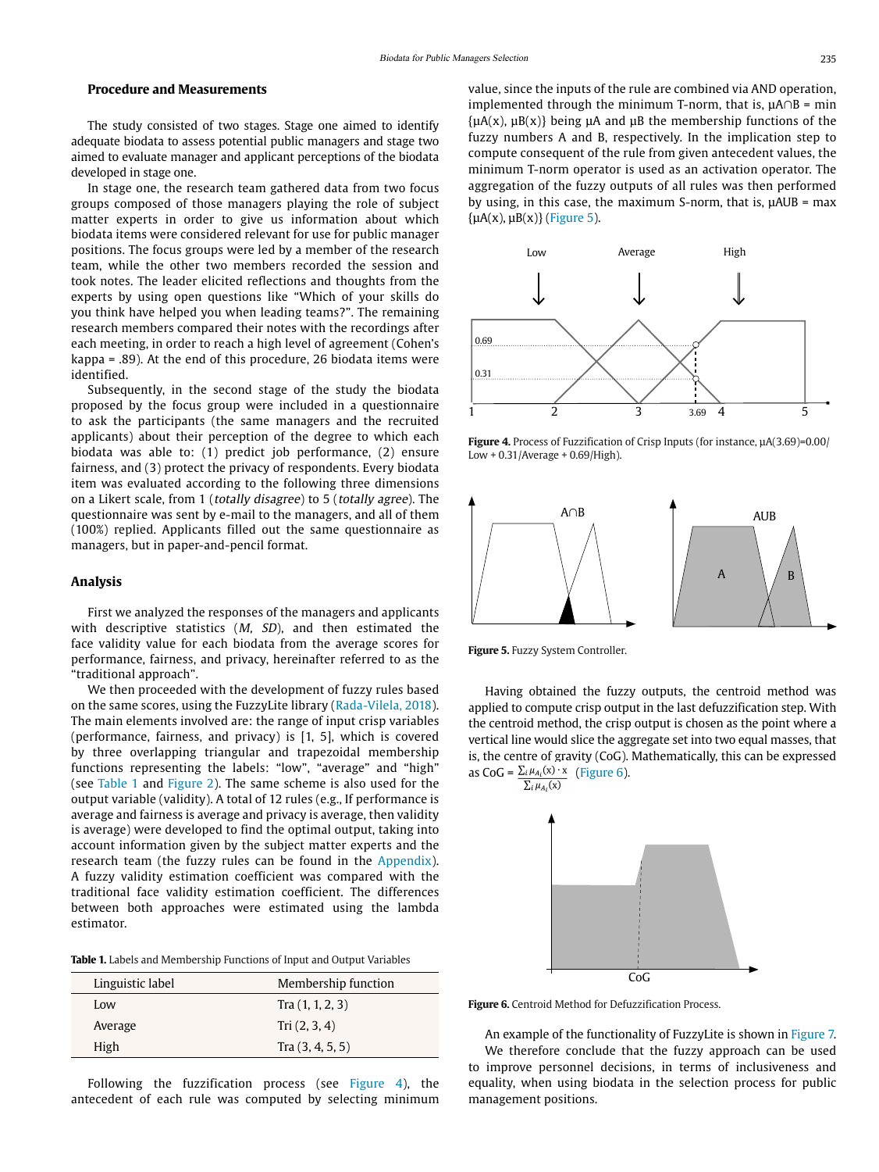#### **Procedure and Measurements**

The study consisted of two stages. Stage one aimed to identify adequate biodata to assess potential public managers and stage two aimed to evaluate manager and applicant perceptions of the biodata developed in stage one.

In stage one, the research team gathered data from two focus groups composed of those managers playing the role of subject matter experts in order to give us information about which biodata items were considered relevant for use for public manager positions. The focus groups were led by a member of the research team, while the other two members recorded the session and took notes. The leader elicited reflections and thoughts from the experts by using open questions like "Which of your skills do you think have helped you when leading teams?". The remaining research members compared their notes with the recordings after each meeting, in order to reach a high level of agreement (Cohen's kappa = .89). At the end of this procedure, 26 biodata items were identified.

Subsequently, in the second stage of the study the biodata proposed by the focus group were included in a questionnaire to ask the participants (the same managers and the recruited applicants) about their perception of the degree to which each biodata was able to: (1) predict job performance, (2) ensure fairness, and (3) protect the privacy of respondents. Every biodata item was evaluated according to the following three dimensions on a Likert scale, from 1 (totally disagree) to 5 (totally agree). The questionnaire was sent by e-mail to the managers, and all of them (100%) replied. Applicants filled out the same questionnaire as managers, but in paper-and-pencil format.

#### **Analysis**

First we analyzed the responses of the managers and applicants with descriptive statistics  $(M, SD)$ , and then estimated the face validity value for each biodata from the average scores for performance, fairness, and privacy, hereinafter referred to as the "traditional approach".

We then proceeded with the development of fuzzy rules based on the same scores, using the FuzzyLite library ([Rada-Vilela, 2018](#page-10-27)). The main elements involved are: the range of input crisp variables (performance, fairness, and privacy) is [1, 5], which is covered by three overlapping triangular and trapezoidal membership functions representing the labels: "low", "average" and "high" (see [Table 1](#page-4-0) and [Figure 2](#page-2-1)). The same scheme is also used for the output variable (validity). A total of 12 rules (e.g., If performance is average and fairness is average and privacy is average, then validity is average) were developed to find the optimal output, taking into account information given by the subject matter experts and the research team (the fuzzy rules can be found in the [Appendix\)](#page-11-0). A fuzzy validity estimation coefficient was compared with the traditional face validity estimation coefficient. The differences between both approaches were estimated using the lambda estimator.

<span id="page-4-0"></span>

| <b>Table 1.</b> Labels and Membership Functions of Input and Output Variables |  |  |  |  |  |
|-------------------------------------------------------------------------------|--|--|--|--|--|
|-------------------------------------------------------------------------------|--|--|--|--|--|

| Linguistic label | Membership function |
|------------------|---------------------|
| Low              | Tra(1, 1, 2, 3)     |
| Average          | Tri $(2, 3, 4)$     |
| High             | Tra $(3, 4, 5, 5)$  |

Following the fuzzification process (see [Figure 4\)](#page-4-1), the antecedent of each rule was computed by selecting minimum value, since the inputs of the rule are combined via AND operation, implemented through the minimum T-norm, that is,  $\mu A \cap B = \min$  ${uA(x), uB(x)}$  being  $uA$  and  $uB$  the membership functions of the fuzzy numbers A and B, respectively. In the implication step to compute consequent of the rule from given antecedent values, the minimum T-norm operator is used as an activation operator. The aggregation of the fuzzy outputs of all rules was then performed by using, in this case, the maximum S-norm, that is, µAUB = max  $\{\mu A(x), \mu B(x)\}\$  ([Figure 5](#page-4-2)).



<span id="page-4-1"></span>**Figure 4.** Process of Fuzzification of Crisp Inputs (for instance, µA(3.69)=0.00/ Low + 0.31/Average + 0.69/High).



<span id="page-4-2"></span>**Figure 5.** Fuzzy System Controller.

Having obtained the fuzzy outputs, the centroid method was applied to compute crisp output in the last defuzzification step. With the centroid method, the crisp output is chosen as the point where a vertical line would slice the aggregate set into two equal masses, that is, the centre of gravity (CoG). Mathematically, this can be expressed as CoG =  $\frac{\sum_i \mu_{A_i}(x) \cdot x}{\sum_i \mu_{A_i}(x)}$  [\(Figure 6](#page-4-3)).



<span id="page-4-3"></span>**Figure 6.** Centroid Method for Defuzzification Process.

An example of the functionality of FuzzyLite is shown in [Figure 7](#page-5-0). We therefore conclude that the fuzzy approach can be used to improve personnel decisions, in terms of inclusiveness and equality, when using biodata in the selection process for public management positions.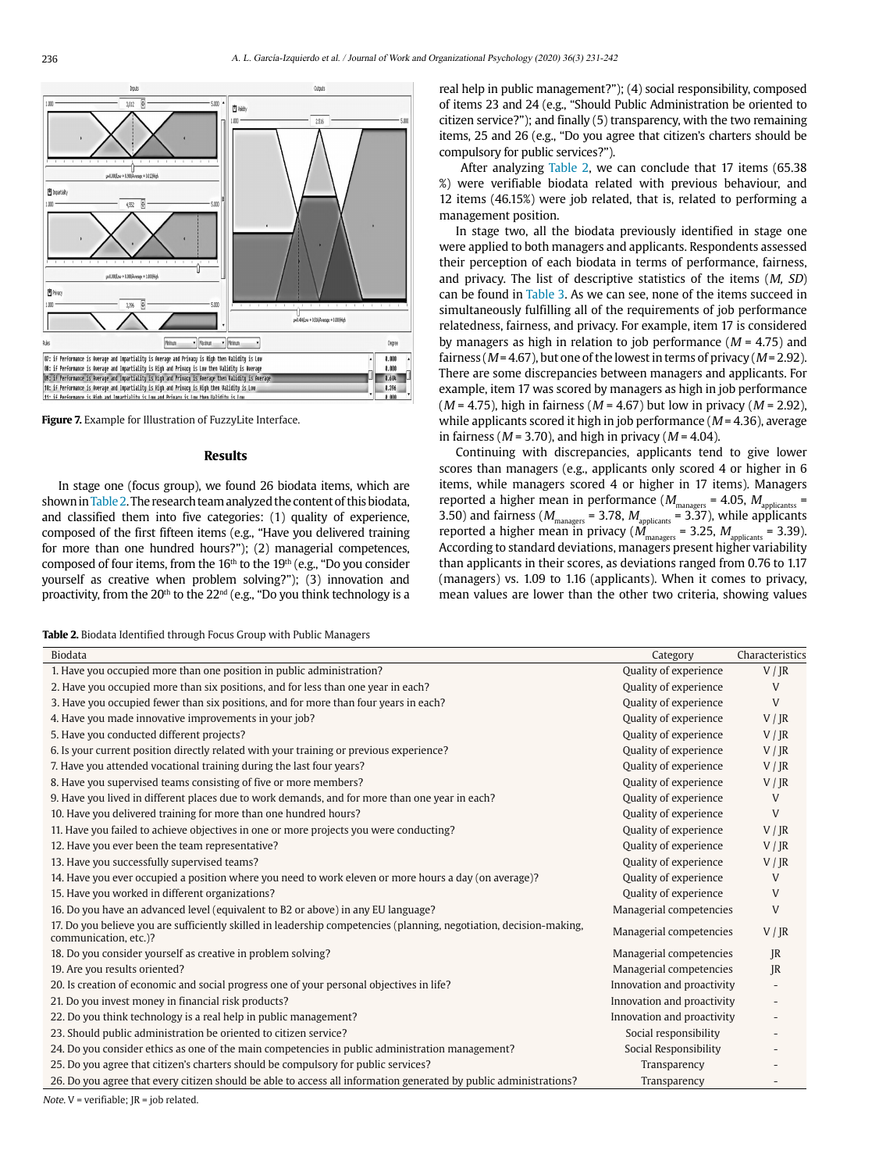

<span id="page-5-0"></span>**Figure 7.** Example for Illustration of FuzzyLite Interface.

#### **Results**

In stage one (focus group), we found 26 biodata items, which are shown in [Table 2.](#page-5-1) The research team analyzed the content of this biodata, and classified them into five categories: (1) quality of experience, composed of the first fifteen items (e.g., "Have you delivered training for more than one hundred hours?"); (2) managerial competences, composed of four items, from the  $16<sup>th</sup>$  to the  $19<sup>th</sup>$  (e.g., "Do you consider yourself as creative when problem solving?"); (3) innovation and proactivity, from the  $20<sup>th</sup>$  to the  $22<sup>nd</sup>$  (e.g., "Do you think technology is a

<span id="page-5-1"></span>**Table 2.** Biodata Identified through Focus Group with Public Managers

real help in public management?"); (4) social responsibility, composed of items 23 and 24 (e.g., "Should Public Administration be oriented to citizen service?"); and finally (5) transparency, with the two remaining items, 25 and 26 (e.g., "Do you agree that citizen's charters should be compulsory for public services?").

 After analyzing [Table 2](#page-5-1), we can conclude that 17 items (65.38 %) were verifiable biodata related with previous behaviour, and 12 items (46.15%) were job related, that is, related to performing a management position.

In stage two, all the biodata previously identified in stage one were applied to both managers and applicants. Respondents assessed their perception of each biodata in terms of performance, fairness, and privacy. The list of descriptive statistics of the items (M, SD) can be found in [Table 3.](#page-6-0) As we can see, none of the items succeed in simultaneously fulfilling all of the requirements of job performance relatedness, fairness, and privacy. For example, item 17 is considered by managers as high in relation to job performance ( $M = 4.75$ ) and fairness ( $M = 4.67$ ), but one of the lowest in terms of privacy ( $M = 2.92$ ). There are some discrepancies between managers and applicants. For example, item 17 was scored by managers as high in job performance  $(M = 4.75)$ , high in fairness  $(M = 4.67)$  but low in privacy  $(M = 2.92)$ , while applicants scored it high in job performance ( $M = 4.36$ ), average in fairness ( $M = 3.70$ ), and high in privacy ( $M = 4.04$ ).

Continuing with discrepancies, applicants tend to give lower scores than managers (e.g., applicants only scored 4 or higher in 6 items, while managers scored 4 or higher in 17 items). Managers reported a higher mean in performance ( $M_{\text{managers}} = 4.05$ ,  $M_{\text{applicants}} =$ 3.50) and fairness ( $M_{\rm{managers}}$  = 3.78,  $M_{\rm{applicants}}$  = 3.37), while applicants reported a higher mean in privacy ( $M_{\rm{managers}}$  = 3.25,  $M_{\rm{applicants}}$  = 3.39). According to standard deviations, managers present higher variability than applicants in their scores, as deviations ranged from 0.76 to 1.17 (managers) vs. 1.09 to 1.16 (applicants). When it comes to privacy, mean values are lower than the other two criteria, showing values

| Biodata                                                                                                                                      | Category                   | Characteristics |
|----------------------------------------------------------------------------------------------------------------------------------------------|----------------------------|-----------------|
| 1. Have you occupied more than one position in public administration?                                                                        | Quality of experience      | V / IR          |
| 2. Have you occupied more than six positions, and for less than one year in each?                                                            | Quality of experience      | V               |
| 3. Have you occupied fewer than six positions, and for more than four years in each?                                                         | Quality of experience      | V               |
| 4. Have you made innovative improvements in your job?                                                                                        | Quality of experience      | V / IR          |
| 5. Have you conducted different projects?                                                                                                    | Quality of experience      | V / IR          |
| 6. Is your current position directly related with your training or previous experience?                                                      | Quality of experience      | V / IR          |
| 7. Have you attended vocational training during the last four years?                                                                         | Quality of experience      | V / JR          |
| 8. Have you supervised teams consisting of five or more members?                                                                             | Quality of experience      | V / IR          |
| 9. Have you lived in different places due to work demands, and for more than one year in each?                                               | Quality of experience      | V               |
| 10. Have you delivered training for more than one hundred hours?                                                                             | Quality of experience      | V               |
| 11. Have you failed to achieve objectives in one or more projects you were conducting?                                                       | Quality of experience      | V / IR          |
| 12. Have you ever been the team representative?                                                                                              | Quality of experience      | V / IR          |
| 13. Have you successfully supervised teams?                                                                                                  | Quality of experience      | V / IR          |
| 14. Have you ever occupied a position where you need to work eleven or more hours a day (on average)?                                        | Quality of experience      | V               |
| 15. Have you worked in different organizations?                                                                                              | Quality of experience      | V               |
| 16. Do you have an advanced level (equivalent to B2 or above) in any EU language?                                                            | Managerial competencies    | V               |
| 17. Do you believe you are sufficiently skilled in leadership competencies (planning, negotiation, decision-making,<br>communication, etc.)? | Managerial competencies    | V / JR          |
| 18. Do you consider yourself as creative in problem solving?                                                                                 | Managerial competencies    | IR              |
| 19. Are you results oriented?                                                                                                                | Managerial competencies    | R               |
| 20. Is creation of economic and social progress one of your personal objectives in life?                                                     | Innovation and proactivity |                 |
| 21. Do you invest money in financial risk products?                                                                                          | Innovation and proactivity |                 |
| 22. Do you think technology is a real help in public management?                                                                             | Innovation and proactivity |                 |
| 23. Should public administration be oriented to citizen service?                                                                             | Social responsibility      |                 |
| 24. Do you consider ethics as one of the main competencies in public administration management?                                              | Social Responsibility      |                 |
| 25. Do you agree that citizen's charters should be compulsory for public services?                                                           | Transparency               |                 |
| 26. Do you agree that every citizen should be able to access all information generated by public administrations?                            | Transparency               |                 |
| $M_{\text{min}}(M)$ and $M_{\text{min}}(M)$ and $M_{\text{min}}(M)$ and $M_{\text{max}}(M)$                                                  |                            |                 |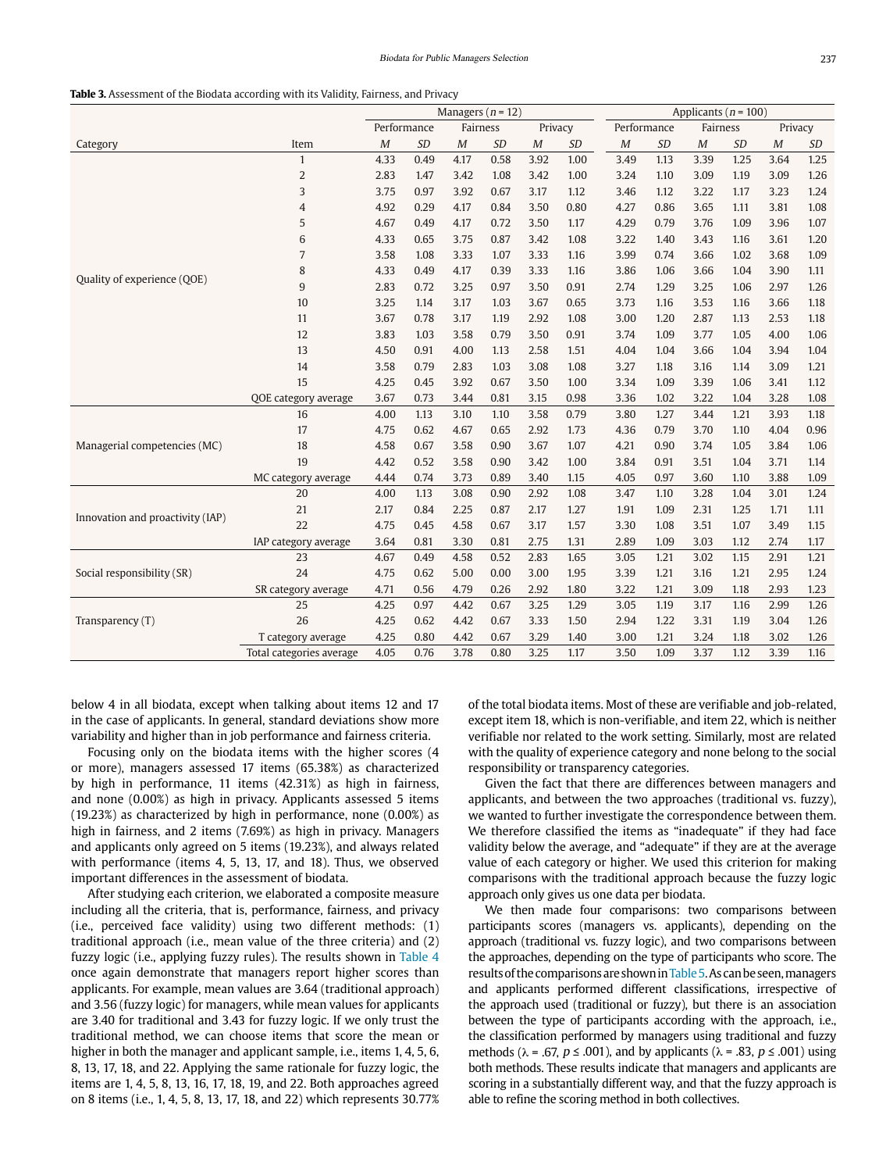#### <span id="page-6-0"></span>**Table 3.** Assessment of the Biodata according with its Validity, Fairness, and Privacy

|                                  |                          | Managers $(n = 12)$ |                                    |          |           | Applicants ( $n = 100$ ) |      |          |           |                  |           |          |      |
|----------------------------------|--------------------------|---------------------|------------------------------------|----------|-----------|--------------------------|------|----------|-----------|------------------|-----------|----------|------|
|                                  |                          |                     | Performance<br>Fairness<br>Privacy |          |           | Performance<br>Fairness  |      |          | Privacy   |                  |           |          |      |
| Category                         | Item                     | M                   | <b>SD</b>                          | $\cal M$ | <b>SD</b> | M                        | SD   | $\cal M$ | <b>SD</b> | $\boldsymbol{M}$ | <b>SD</b> | $\cal M$ | SD   |
|                                  | $\mathbf{1}$             | 4.33                | 0.49                               | 4.17     | 0.58      | 3.92                     | 1.00 | 3.49     | 1.13      | 3.39             | 1.25      | 3.64     | 1.25 |
|                                  | $\overline{2}$           | 2.83                | 1.47                               | 3.42     | 1.08      | 3.42                     | 1.00 | 3.24     | 1.10      | 3.09             | 1.19      | 3.09     | 1.26 |
|                                  | 3                        | 3.75                | 0.97                               | 3.92     | 0.67      | 3.17                     | 1.12 | 3.46     | 1.12      | 3.22             | 1.17      | 3.23     | 1.24 |
|                                  | $\overline{4}$           | 4.92                | 0.29                               | 4.17     | 0.84      | 3.50                     | 0.80 | 4.27     | 0.86      | 3.65             | 1.11      | 3.81     | 1.08 |
|                                  | 5                        | 4.67                | 0.49                               | 4.17     | 0.72      | 3.50                     | 1.17 | 4.29     | 0.79      | 3.76             | 1.09      | 3.96     | 1.07 |
|                                  | 6                        | 4.33                | 0.65                               | 3.75     | 0.87      | 3.42                     | 1.08 | 3.22     | 1.40      | 3.43             | 1.16      | 3.61     | 1.20 |
|                                  | 7                        | 3.58                | 1.08                               | 3.33     | 1.07      | 3.33                     | 1.16 | 3.99     | 0.74      | 3.66             | 1.02      | 3.68     | 1.09 |
|                                  | 8                        | 4.33                | 0.49                               | 4.17     | 0.39      | 3.33                     | 1.16 | 3.86     | 1.06      | 3.66             | 1.04      | 3.90     | 1.11 |
| Quality of experience (QOE)      | $9\,$                    | 2.83                | 0.72                               | 3.25     | 0.97      | 3.50                     | 0.91 | 2.74     | 1.29      | 3.25             | 1.06      | 2.97     | 1.26 |
|                                  | 10                       | 3.25                | 1.14                               | 3.17     | 1.03      | 3.67                     | 0.65 | 3.73     | 1.16      | 3.53             | 1.16      | 3.66     | 1.18 |
|                                  | 11                       | 3.67                | 0.78                               | 3.17     | 1.19      | 2.92                     | 1.08 | 3.00     | 1.20      | 2.87             | 1.13      | 2.53     | 1.18 |
|                                  | 12                       | 3.83                | 1.03                               | 3.58     | 0.79      | 3.50                     | 0.91 | 3.74     | 1.09      | 3.77             | 1.05      | 4.00     | 1.06 |
|                                  | 13                       | 4.50                | 0.91                               | 4.00     | 1.13      | 2.58                     | 1.51 | 4.04     | 1.04      | 3.66             | 1.04      | 3.94     | 1.04 |
|                                  | 14                       | 3.58                | 0.79                               | 2.83     | 1.03      | 3.08                     | 1.08 | 3.27     | 1.18      | 3.16             | 1.14      | 3.09     | 1.21 |
|                                  | 15                       | 4.25                | 0.45                               | 3.92     | 0.67      | 3.50                     | 1.00 | 3.34     | 1.09      | 3.39             | 1.06      | 3.41     | 1.12 |
|                                  | QOE category average     | 3.67                | 0.73                               | 3.44     | 0.81      | 3.15                     | 0.98 | 3.36     | 1.02      | 3.22             | 1.04      | 3.28     | 1.08 |
|                                  | 16                       | 4.00                | 1.13                               | 3.10     | 1.10      | 3.58                     | 0.79 | 3.80     | 1.27      | 3.44             | 1.21      | 3.93     | 1.18 |
|                                  | 17                       | 4.75                | 0.62                               | 4.67     | 0.65      | 2.92                     | 1.73 | 4.36     | 0.79      | 3.70             | 1.10      | 4.04     | 0.96 |
| Managerial competencies (MC)     | 18                       | 4.58                | 0.67                               | 3.58     | 0.90      | 3.67                     | 1.07 | 4.21     | 0.90      | 3.74             | 1.05      | 3.84     | 1.06 |
|                                  | 19                       | 4.42                | 0.52                               | 3.58     | 0.90      | 3.42                     | 1.00 | 3.84     | 0.91      | 3.51             | 1.04      | 3.71     | 1.14 |
|                                  | MC category average      | 4.44                | 0.74                               | 3.73     | 0.89      | 3.40                     | 1.15 | 4.05     | 0.97      | 3.60             | 1.10      | 3.88     | 1.09 |
|                                  | 20                       | 4.00                | 1.13                               | 3.08     | 0.90      | 2.92                     | 1.08 | 3.47     | 1.10      | 3.28             | 1.04      | 3.01     | 1.24 |
|                                  | 21                       | 2.17                | 0.84                               | 2.25     | 0.87      | 2.17                     | 1.27 | 1.91     | 1.09      | 2.31             | 1.25      | 1.71     | 1.11 |
| Innovation and proactivity (IAP) | 22                       | 4.75                | 0.45                               | 4.58     | 0.67      | 3.17                     | 1.57 | 3.30     | 1.08      | 3.51             | 1.07      | 3.49     | 1.15 |
|                                  | IAP category average     | 3.64                | 0.81                               | 3.30     | 0.81      | 2.75                     | 1.31 | 2.89     | 1.09      | 3.03             | 1.12      | 2.74     | 1.17 |
|                                  | 23                       | 4.67                | 0.49                               | 4.58     | 0.52      | 2.83                     | 1.65 | 3.05     | 1.21      | 3.02             | 1.15      | 2.91     | 1.21 |
| Social responsibility (SR)       | 24                       | 4.75                | 0.62                               | 5.00     | 0.00      | 3.00                     | 1.95 | 3.39     | 1.21      | 3.16             | 1.21      | 2.95     | 1.24 |
|                                  | SR category average      | 4.71                | 0.56                               | 4.79     | 0.26      | 2.92                     | 1.80 | 3.22     | 1.21      | 3.09             | 1.18      | 2.93     | 1.23 |
|                                  | 25                       | 4.25                | 0.97                               | 4.42     | 0.67      | 3.25                     | 1.29 | 3.05     | 1.19      | 3.17             | 1.16      | 2.99     | 1.26 |
| Transparency $(T)$               | 26                       | 4.25                | 0.62                               | 4.42     | 0.67      | 3.33                     | 1.50 | 2.94     | 1.22      | 3.31             | 1.19      | 3.04     | 1.26 |
|                                  | T category average       | 4.25                | 0.80                               | 4.42     | 0.67      | 3.29                     | 1.40 | 3.00     | 1.21      | 3.24             | 1.18      | 3.02     | 1.26 |
|                                  | Total categories average | 4.05                | 0.76                               | 3.78     | 0.80      | 3.25                     | 1.17 | 3.50     | 1.09      | 3.37             | 1.12      | 3.39     | 1.16 |

below 4 in all biodata, except when talking about items 12 and 17 in the case of applicants. In general, standard deviations show more variability and higher than in job performance and fairness criteria.

Focusing only on the biodata items with the higher scores (4 or more), managers assessed 17 items (65.38%) as characterized by high in performance, 11 items (42.31%) as high in fairness, and none (0.00%) as high in privacy. Applicants assessed 5 items (19.23%) as characterized by high in performance, none (0.00%) as high in fairness, and 2 items (7.69%) as high in privacy. Managers and applicants only agreed on 5 items (19.23%), and always related with performance (items 4, 5, 13, 17, and 18). Thus, we observed important differences in the assessment of biodata.

After studying each criterion, we elaborated a composite measure including all the criteria, that is, performance, fairness, and privacy (i.e., perceived face validity) using two different methods: (1) traditional approach (i.e., mean value of the three criteria) and (2) fuzzy logic (i.e., applying fuzzy rules). The results shown in [Table 4](#page-7-0) once again demonstrate that managers report higher scores than applicants. For example, mean values are 3.64 (traditional approach) and 3.56 (fuzzy logic) for managers, while mean values for applicants are 3.40 for traditional and 3.43 for fuzzy logic. If we only trust the traditional method, we can choose items that score the mean or higher in both the manager and applicant sample, i.e., items 1, 4, 5, 6, 8, 13, 17, 18, and 22. Applying the same rationale for fuzzy logic, the items are 1, 4, 5, 8, 13, 16, 17, 18, 19, and 22. Both approaches agreed on 8 items (i.e., 1, 4, 5, 8, 13, 17, 18, and 22) which represents 30.77% of the total biodata items. Most of these are verifiable and job-related, except item 18, which is non-verifiable, and item 22, which is neither verifiable nor related to the work setting. Similarly, most are related with the quality of experience category and none belong to the social responsibility or transparency categories.

Given the fact that there are differences between managers and applicants, and between the two approaches (traditional vs. fuzzy), we wanted to further investigate the correspondence between them. We therefore classified the items as "inadequate" if they had face validity below the average, and "adequate" if they are at the average value of each category or higher. We used this criterion for making comparisons with the traditional approach because the fuzzy logic approach only gives us one data per biodata.

We then made four comparisons: two comparisons between participants scores (managers vs. applicants), depending on the approach (traditional vs. fuzzy logic), and two comparisons between the approaches, depending on the type of participants who score. The results of the comparisons are shown in [Table 5.](#page-8-1) As can be seen, managers and applicants performed different classifications, irrespective of the approach used (traditional or fuzzy), but there is an association between the type of participants according with the approach, i.e., the classification performed by managers using traditional and fuzzy methods ( $\lambda$  = .67,  $p \le$  .001), and by applicants ( $\lambda$  = .83,  $p \le$  .001) using both methods. These results indicate that managers and applicants are scoring in a substantially different way, and that the fuzzy approach is able to refine the scoring method in both collectives.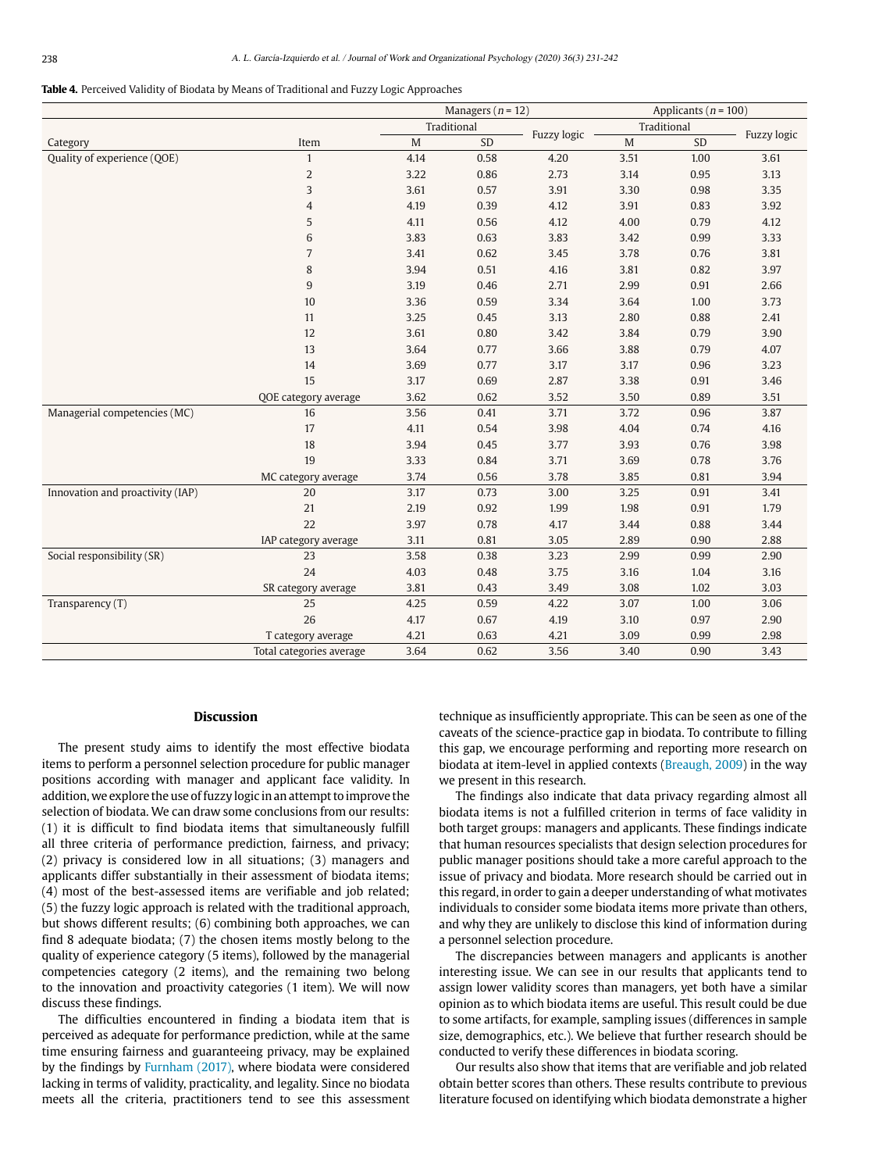#### <span id="page-7-0"></span>**Table 4.** Perceived Validity of Biodata by Means of Traditional and Fuzzy Logic Approaches

|                                  |                          | Managers ( $n = 12$ ) |      |             | Applicants ( $n = 100$ ) |      |             |
|----------------------------------|--------------------------|-----------------------|------|-------------|--------------------------|------|-------------|
|                                  |                          | Traditional           |      |             | Traditional              |      |             |
| Category                         | Item                     | $\mathbf M$           | SD   | Fuzzy logic | M                        | SD   | Fuzzy logic |
| Quality of experience (QOE)      | $\mathbf{1}$             | 4.14                  | 0.58 | 4.20        | 3.51                     | 1.00 | 3.61        |
|                                  | $\overline{c}$           | 3.22                  | 0.86 | 2.73        | 3.14                     | 0.95 | 3.13        |
|                                  | 3                        | 3.61                  | 0.57 | 3.91        | 3.30                     | 0.98 | 3.35        |
|                                  | $\overline{4}$           | 4.19                  | 0.39 | 4.12        | 3.91                     | 0.83 | 3.92        |
|                                  | 5                        | 4.11                  | 0.56 | 4.12        | 4.00                     | 0.79 | 4.12        |
|                                  | 6                        | 3.83                  | 0.63 | 3.83        | 3.42                     | 0.99 | 3.33        |
|                                  | $\overline{7}$           | 3.41                  | 0.62 | 3.45        | 3.78                     | 0.76 | 3.81        |
|                                  | $\, 8$                   | 3.94                  | 0.51 | 4.16        | 3.81                     | 0.82 | 3.97        |
|                                  | 9                        | 3.19                  | 0.46 | 2.71        | 2.99                     | 0.91 | 2.66        |
|                                  | 10                       | 3.36                  | 0.59 | 3.34        | 3.64                     | 1.00 | 3.73        |
|                                  | 11                       | 3.25                  | 0.45 | 3.13        | 2.80                     | 0.88 | 2.41        |
|                                  | 12                       | 3.61                  | 0.80 | 3.42        | 3.84                     | 0.79 | 3.90        |
|                                  | 13                       | 3.64                  | 0.77 | 3.66        | 3.88                     | 0.79 | 4.07        |
|                                  | 14                       | 3.69                  | 0.77 | 3.17        | 3.17                     | 0.96 | 3.23        |
|                                  | 15                       | 3.17                  | 0.69 | 2.87        | 3.38                     | 0.91 | 3.46        |
|                                  | QOE category average     | 3.62                  | 0.62 | 3.52        | 3.50                     | 0.89 | 3.51        |
| Managerial competencies (MC)     | 16                       | 3.56                  | 0.41 | 3.71        | 3.72                     | 0.96 | 3.87        |
|                                  | 17                       | 4.11                  | 0.54 | 3.98        | 4.04                     | 0.74 | 4.16        |
|                                  | 18                       | 3.94                  | 0.45 | 3.77        | 3.93                     | 0.76 | 3.98        |
|                                  | 19                       | 3.33                  | 0.84 | 3.71        | 3.69                     | 0.78 | 3.76        |
|                                  | MC category average      | 3.74                  | 0.56 | 3.78        | 3.85                     | 0.81 | 3.94        |
| Innovation and proactivity (IAP) | 20                       | 3.17                  | 0.73 | 3.00        | 3.25                     | 0.91 | 3.41        |
|                                  | 21                       | 2.19                  | 0.92 | 1.99        | 1.98                     | 0.91 | 1.79        |
|                                  | 22                       | 3.97                  | 0.78 | 4.17        | 3.44                     | 0.88 | 3.44        |
|                                  | IAP category average     | 3.11                  | 0.81 | 3.05        | 2.89                     | 0.90 | 2.88        |
| Social responsibility (SR)       | 23                       | 3.58                  | 0.38 | 3.23        | 2.99                     | 0.99 | 2.90        |
|                                  | 24                       | 4.03                  | 0.48 | 3.75        | 3.16                     | 1.04 | 3.16        |
|                                  | SR category average      | 3.81                  | 0.43 | 3.49        | 3.08                     | 1.02 | 3.03        |
| Transparency (T)                 | 25                       | 4.25                  | 0.59 | 4.22        | 3.07                     | 1.00 | 3.06        |
|                                  | 26                       | 4.17                  | 0.67 | 4.19        | 3.10                     | 0.97 | 2.90        |
|                                  | T category average       | 4.21                  | 0.63 | 4.21        | 3.09                     | 0.99 | 2.98        |
|                                  | Total categories average | 3.64                  | 0.62 | 3.56        | 3.40                     | 0.90 | 3.43        |

#### **Discussion**

The present study aims to identify the most effective biodata items to perform a personnel selection procedure for public manager positions according with manager and applicant face validity. In addition, we explore the use of fuzzy logic in an attempt to improve the selection of biodata. We can draw some conclusions from our results: (1) it is difficult to find biodata items that simultaneously fulfill all three criteria of performance prediction, fairness, and privacy; (2) privacy is considered low in all situations; (3) managers and applicants differ substantially in their assessment of biodata items; (4) most of the best-assessed items are verifiable and job related; (5) the fuzzy logic approach is related with the traditional approach, but shows different results; (6) combining both approaches, we can find 8 adequate biodata; (7) the chosen items mostly belong to the quality of experience category (5 items), followed by the managerial competencies category (2 items), and the remaining two belong to the innovation and proactivity categories (1 item). We will now discuss these findings.

The difficulties encountered in finding a biodata item that is perceived as adequate for performance prediction, while at the same time ensuring fairness and guaranteeing privacy, may be explained by the findings by [Furnham \(2017\),](#page-9-5) where biodata were considered lacking in terms of validity, practicality, and legality. Since no biodata meets all the criteria, practitioners tend to see this assessment

technique as insufficiently appropriate. This can be seen as one of the caveats of the science-practice gap in biodata. To contribute to filling this gap, we encourage performing and reporting more research on biodata at item-level in applied contexts ([Breaugh, 2009](#page-9-2)) in the way we present in this research.

The findings also indicate that data privacy regarding almost all biodata items is not a fulfilled criterion in terms of face validity in both target groups: managers and applicants. These findings indicate that human resources specialists that design selection procedures for public manager positions should take a more careful approach to the issue of privacy and biodata. More research should be carried out in this regard, in order to gain a deeper understanding of what motivates individuals to consider some biodata items more private than others, and why they are unlikely to disclose this kind of information during a personnel selection procedure.

The discrepancies between managers and applicants is another interesting issue. We can see in our results that applicants tend to assign lower validity scores than managers, yet both have a similar opinion as to which biodata items are useful. This result could be due to some artifacts, for example, sampling issues (differences in sample size, demographics, etc.). We believe that further research should be conducted to verify these differences in biodata scoring.

Our results also show that items that are verifiable and job related obtain better scores than others. These results contribute to previous literature focused on identifying which biodata demonstrate a higher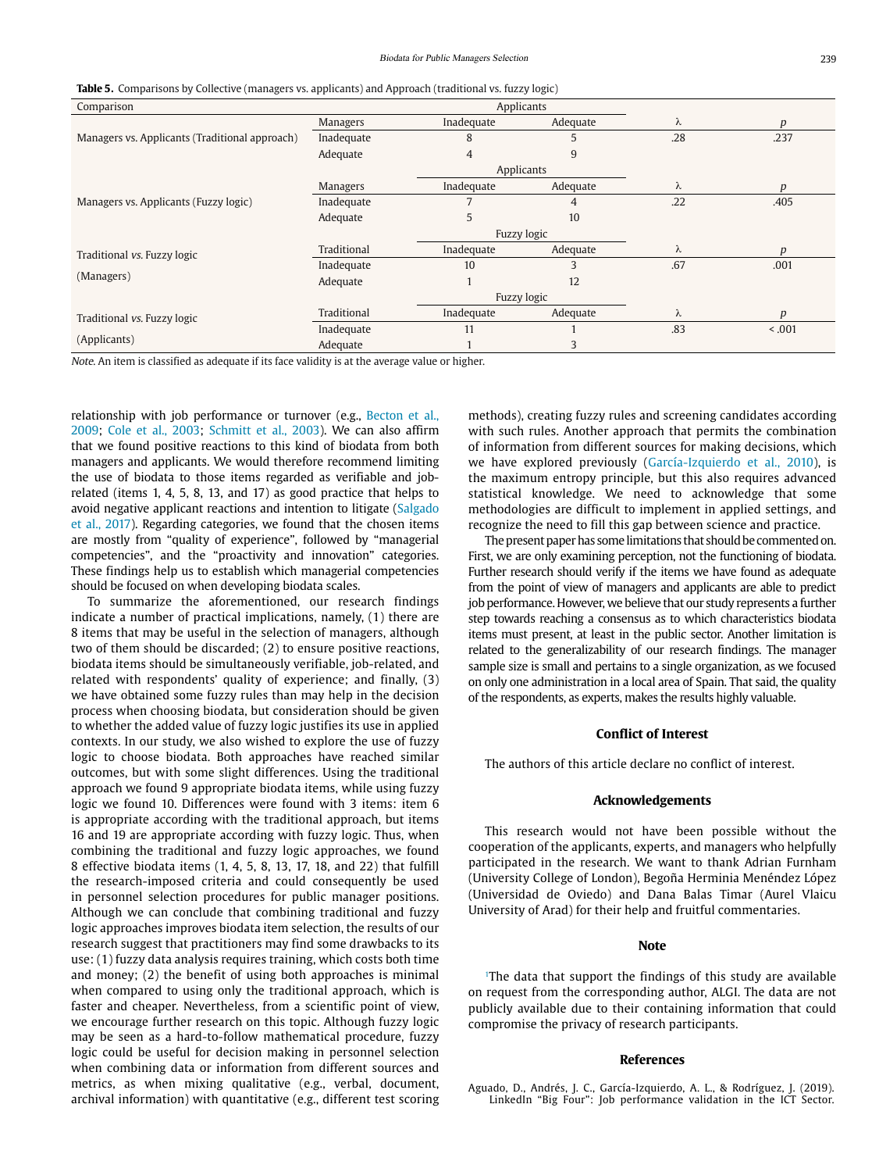<span id="page-8-1"></span>

|  | <b>Table 5.</b> Comparisons by Collective (managers vs. applicants) and Approach (traditional vs. fuzzy logic) |  |  |  |  |  |  |  |
|--|----------------------------------------------------------------------------------------------------------------|--|--|--|--|--|--|--|
|--|----------------------------------------------------------------------------------------------------------------|--|--|--|--|--|--|--|

| Comparison                                     |                 | Applicants     |          |     |                  |
|------------------------------------------------|-----------------|----------------|----------|-----|------------------|
|                                                | <b>Managers</b> | Inadequate     | Adequate | λ   | $\boldsymbol{p}$ |
| Managers vs. Applicants (Traditional approach) | Inadequate      | 8              | 5        | .28 | .237             |
|                                                | Adequate        | $\overline{4}$ | 9        |     |                  |
|                                                |                 | Applicants     |          |     |                  |
|                                                | <b>Managers</b> | Inadequate     | Adequate | λ   | p                |
| Managers vs. Applicants (Fuzzy logic)          | Inadequate      |                | 4        | .22 | .405             |
|                                                | Adequate        | 5              | 10       |     |                  |
|                                                |                 | Fuzzy logic    |          |     |                  |
| Traditional vs. Fuzzy logic                    | Traditional     | Inadequate     | Adequate | λ   | $\boldsymbol{D}$ |
|                                                | Inadequate      | 10             | 3        | .67 | .001             |
| (Managers)                                     | Adequate        |                | 12       |     |                  |
|                                                |                 | Fuzzy logic    |          |     |                  |
| Traditional vs. Fuzzy logic                    | Traditional     | Inadequate     | Adequate | λ   | D                |
|                                                | Inadequate      | 11             |          | .83 | < 0.001          |
| (Applicants)                                   | Adequate        |                | 3        |     |                  |

Note. An item is classified as adequate if its face validity is at the average value or higher.

relationship with job performance or turnover (e.g., [Becton et al.,](#page-9-3)  [2009;](#page-9-3) [Cole et al., 2003;](#page-9-10) [Schmitt et al., 2003\)](#page-10-3). We can also affirm that we found positive reactions to this kind of biodata from both managers and applicants. We would therefore recommend limiting the use of biodata to those items regarded as verifiable and jobrelated (items 1, 4, 5, 8, 13, and 17) as good practice that helps to avoid negative applicant reactions and intention to litigate [\(Salgado](#page-10-7)  [et al., 2017\)](#page-10-7). Regarding categories, we found that the chosen items are mostly from "quality of experience", followed by "managerial competencies", and the "proactivity and innovation" categories. These findings help us to establish which managerial competencies should be focused on when developing biodata scales.

To summarize the aforementioned, our research findings indicate a number of practical implications, namely, (1) there are 8 items that may be useful in the selection of managers, although two of them should be discarded; (2) to ensure positive reactions, biodata items should be simultaneously verifiable, job-related, and related with respondents' quality of experience; and finally, (3) we have obtained some fuzzy rules than may help in the decision process when choosing biodata, but consideration should be given to whether the added value of fuzzy logic justifies its use in applied contexts. In our study, we also wished to explore the use of fuzzy logic to choose biodata. Both approaches have reached similar outcomes, but with some slight differences. Using the traditional approach we found 9 appropriate biodata items, while using fuzzy logic we found 10. Differences were found with 3 items: item 6 is appropriate according with the traditional approach, but items 16 and 19 are appropriate according with fuzzy logic. Thus, when combining the traditional and fuzzy logic approaches, we found 8 effective biodata items (1, 4, 5, 8, 13, 17, 18, and 22) that fulfill the research-imposed criteria and could consequently be used in personnel selection procedures for public manager positions. Although we can conclude that combining traditional and fuzzy logic approaches improves biodata item selection, the results of our research suggest that practitioners may find some drawbacks to its use: (1) fuzzy data analysis requires training, which costs both time and money; (2) the benefit of using both approaches is minimal when compared to using only the traditional approach, which is faster and cheaper. Nevertheless, from a scientific point of view, we encourage further research on this topic. Although fuzzy logic may be seen as a hard-to-follow mathematical procedure, fuzzy logic could be useful for decision making in personnel selection when combining data or information from different sources and metrics, as when mixing qualitative (e.g., verbal, document, archival information) with quantitative (e.g., different test scoring methods), creating fuzzy rules and screening candidates according with such rules. Another approach that permits the combination of information from different sources for making decisions, which we have explored previously [\(García-Izquierdo et al., 2010](#page-9-14)), is the maximum entropy principle, but this also requires advanced statistical knowledge. We need to acknowledge that some methodologies are difficult to implement in applied settings, and recognize the need to fill this gap between science and practice.

The present paper has some limitations that should be commented on. First, we are only examining perception, not the functioning of biodata. Further research should verify if the items we have found as adequate from the point of view of managers and applicants are able to predict job performance. However, we believe that our study represents a further step towards reaching a consensus as to which characteristics biodata items must present, at least in the public sector. Another limitation is related to the generalizability of our research findings. The manager sample size is small and pertains to a single organization, as we focused on only one administration in a local area of Spain. That said, the quality of the respondents, as experts, makes the results highly valuable.

#### **Conflict of Interest**

The authors of this article declare no conflict of interest.

#### **Acknowledgements**

This research would not have been possible without the cooperation of the applicants, experts, and managers who helpfully participated in the research. We want to thank Adrian Furnham (University College of London), Begoña Herminia Menéndez López (Universidad de Oviedo) and Dana Balas Timar (Aurel Vlaicu University of Arad) for their help and fruitful commentaries.

#### **Note**

<sup>1</sup>The data that support the findings of this study are available on request from the corresponding author, ALGI. The data are not publicly available due to their containing information that could compromise the privacy of research participants.

#### **References**

<span id="page-8-0"></span>Aguado, D., Andrés, J. C., García-Izquierdo, A. L., & Rodríguez, J. (2019). LinkedIn "Big Four": Job performance validation in the ICT Sector.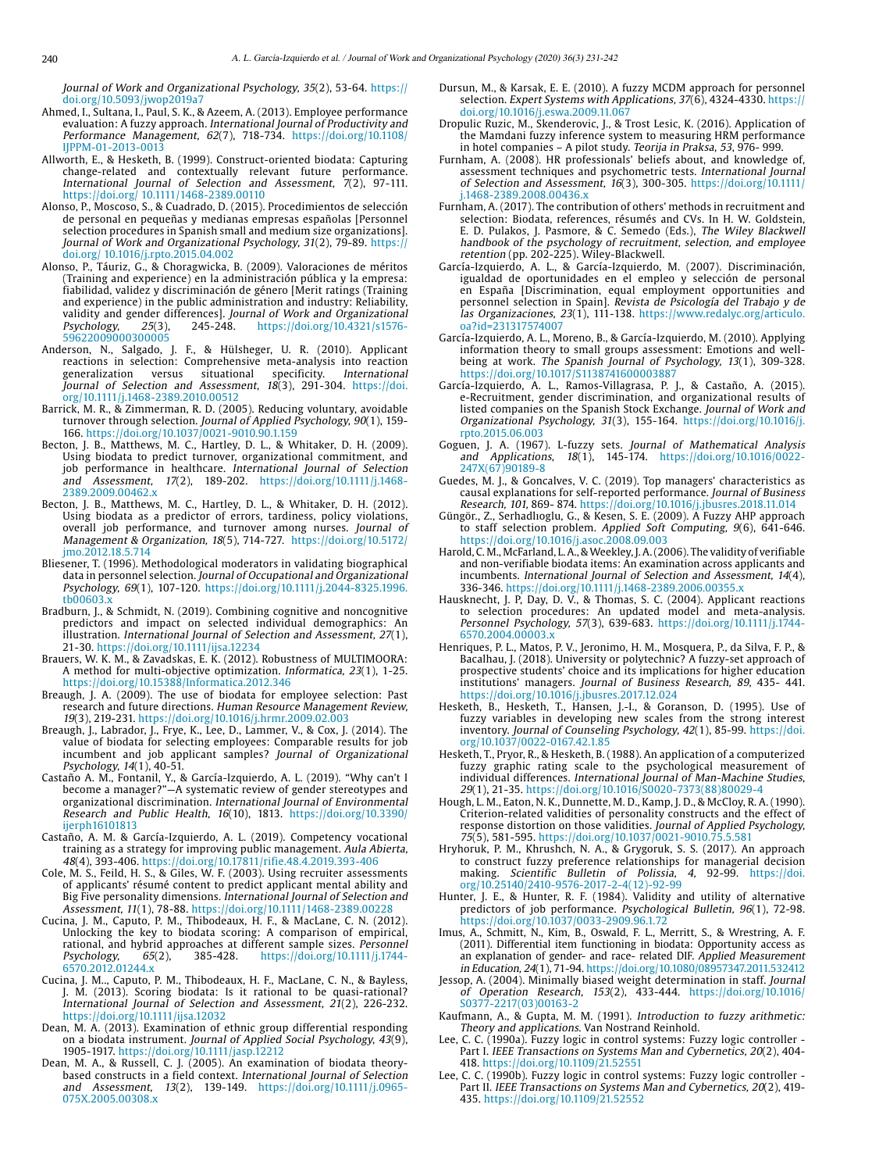Journal of Work and Organizational Psychology, 35(2), 53-64. [https://](https://doi.org/10.5093/jwop2019a7) [doi.org/10.5093/jwop2019a7](https://doi.org/10.5093/jwop2019a7)

- <span id="page-9-19"></span>Ahmed, I., Sultana, I., Paul, S. K., & Azeem, A. (2013). Employee performance evaluation: A fuzzy approach. International Journal of Productivity and Performance Management, 62(7), 718-734. [https://doi.org/10.1108/](https://doi.org/10.1108/IJPPM-01-2013-0013) [IJPPM-01-2013-0013](https://doi.org/10.1108/IJPPM-01-2013-0013)
- <span id="page-9-13"></span>Allworth, E., & Hesketh, B. (1999). Construct-oriented biodata: Capturing change-related and contextually relevant future performance. International Journal of Selection and Assessment, 7(2), 97-111. <https://doi.org/ 10.1111/1468-2389.00110>
- <span id="page-9-1"></span>Alonso, P., Moscoso, S., & Cuadrado, D. (2015). Procedimientos de selección de personal en pequeñas y medianas empresas españolas [Personnel selection procedures in Spanish small and medium size organizations]. Journal of Work and Organizational Psychology, 31(2), 79-89. [https://](https://doi.org/ 10.1016/j.rpto.2015.04.002) [doi.org/ 10.1016/j.rpto.2015.04.002](https://doi.org/ 10.1016/j.rpto.2015.04.002)
- Alonso, P., Táuriz, G., & Choragwicka, B. (2009). Valoraciones de méritos (Training and experience) en la administración pública y la empresa: fiabilidad, validez y discriminación de género [Merit ratings (Training and experience) in the public administration and industry: Reliability, validity and gender differences]. Journal of Work and Organizational Psychology, 25(3), 245-248. [https://doi.org/10.4321/s1576-](https://doi.org/10.4321/s1576-59622009000300005) [59622009000300005](https://doi.org/10.4321/s1576-59622009000300005)
- <span id="page-9-16"></span>Anderson, N., Salgado, J. F., & Hülsheger, U. R. (2010). Applicant reactions in selection: Comprehensive meta-analysis into reaction generalization versus situational specificity. International generalization versus situational specificity. International Journal of Selection and Assessment, 18(3), 291-304. [https://doi.](https://doi.org/10.1111/j.1468-2389.2010.00512) [org/10.1111/j.1468-2389.2010.00512](https://doi.org/10.1111/j.1468-2389.2010.00512)
- <span id="page-9-11"></span>Barrick, M. R., & Zimmerman, R. D. (2005). Reducing voluntary, avoidable turnover through selection. Journal of Applied Psychology, 90(1), 159-166. https://doi.org/10.1037/0021-9010.90.1.159
- <span id="page-9-3"></span>Becton, J. B., Matthews, M. C., Hartley, D. L., & Whitaker, D. H. (2009). Using biodata to predict turnover, organizational commitment, and job performance in healthcare. International Journal of Selection and Assessment, 17(2), 189-202. [https://doi.org/10.1111/j.1468-](https://doi.org/10.1111/j.1468-2389.2009.00462.x) [2389.2009.00462.x](https://doi.org/10.1111/j.1468-2389.2009.00462.x)
- Becton, J. B., Matthews, M. C., Hartley, D. L., & Whitaker, D. H. (2012). Using biodata as a predictor of errors, tardiness, policy violations, overall job performance, and turnover among nurses. Journal of Management & Organization, 18(5), 714-727. [https://doi.org/10.5172/](https://doi.org/10.5172/jmo.2012.18.5.714) [jmo.2012.18.5.714](https://doi.org/10.5172/jmo.2012.18.5.714)
- <span id="page-9-8"></span>Bliesener, T. (1996). Methodological moderators in validating biographical data in personnel selection. Journal of Occupational and Organizational Psychology, 69(1), 107-120. [https://doi.org/10.1111/j.2044-8325.1996.](https://doi.org/10.1111/j.2044-8325.1996.tb00603.x) [tb00603.x](https://doi.org/10.1111/j.2044-8325.1996.tb00603.x)
- Bradburn, J., & Schmidt, N. (2019). Combining cognitive and noncognitive predictors and impact on selected individual demographics: An illustration. International Journal of Selection and Assessment, 27(1), 21-30. https://doi.org/10.1111/ijsa.12234
- Brauers, W. K. M., & Zavadskas, E. K. (2012). Robustness of MULTIMOORA: A method for multi-objective optimization. Informatica, 23(1), 1-25. <https://doi.org/10.15388/Informatica.2012.346>
- <span id="page-9-2"></span>Breaugh, J. A. (2009). The use of biodata for employee selection: Past research and future directions. Human Resource Management Review, 19(3), 219-231. https://doi.org/10.1016/j.hrmr.2009.02.003
- Breaugh, J., Labrador, J., Frye, K., Lee, D., Lammer, V., & Cox, J. (2014). The value of biodata for selecting employees: Comparable results for job incumbent and job applicant samples? Journal of Organizational Psychology, 14(1), 40-51.
- <span id="page-9-0"></span>Castaño A. M., Fontanil, Y., & García-Izquierdo, A. L. (2019). "Why can't I become a manager?"—A systematic review of gender stereotypes and organizational discrimination. International Journal of Environmental Research and Public Health, 16(10), 1813. [https://doi.org/10.3390/](https://doi.org/10.3390/ijerph16101813) [ijerph16101813](https://doi.org/10.3390/ijerph16101813)
- Castaño, A. M. & García-Izquierdo, A. L. (2019). Competency vocational training as a strategy for improving public management. Aula Abierta, 48(4), 393-406.<https://doi.org/10.17811/rifie.48.4.2019.393-406>
- <span id="page-9-10"></span>Cole, M. S., Feild, H. S., & Giles, W. F. (2003). Using recruiter assessments of applicants' résumé content to predict applicant mental ability and Big Five personality dimensions. International Journal of Selection and Assessment, 11(1), 78-88. <https://doi.org/10.1111/1468-2389.00228>
- <span id="page-9-12"></span>Cucina, J. M., Caputo, P. M., Thibodeaux, H. F., & MacLane, C. N. (2012). Unlocking the key to biodata scoring: A comparison of empirical, rational, and hybrid approaches at different sample sizes. Personnel<br>Psychology, 65(2), 385-428. https://doi.org/10.1111/j.1744-Psychology, 65(2), 385-428. https://doi.org/10.1111/j.1744- 6570.2012.01244.x
- Cucina, J. M.., Caputo, P. M., Thibodeaux, H. F., MacLane, C. N., & Bayless, J. M. (2013). Scoring biodata: Is it rational to be quasi-rational? International Journal of Selection and Assessment, 21(2), 226-232. <https://doi.org/10.1111/ijsa.12032>
- <span id="page-9-4"></span>Dean, M. A. (2013). Examination of ethnic group differential responding on a biodata instrument. Journal of Applied Social Psychology, 43(9), 1905-1917. https://doi.org/10.1111/jasp.12212
- Dean, M. A., & Russell, C. J. (2005). An examination of biodata theorybased constructs in a field context. International Journal of Selection and Assessment, 13(2), 139-149. https://doi.org/10.1111/j.0965- 075X.2005.00308.x
- <span id="page-9-27"></span>Dursun, M., & Karsak, E. E. (2010). A fuzzy MCDM approach for personnel selection. Expert Systems with Applications, 37(6), 4324-4330. https:// doi.org/10.1016/j.eswa.2009.11.067
- <span id="page-9-23"></span>Dropulic Ruzic, M., Skenderovic, J., & Trost Lesic, K. (2016). Application of the Mamdani fuzzy inference system to measuring HRM performance in hotel companies – A pilot study. Teorija in Praksa, 53, 976- 999.
- <span id="page-9-5"></span>Furnham, A. (2008). HR professionals' beliefs about, and knowledge of, assessment techniques and psychometric tests. International Journal of Selection and Assessment, 16(3), 300-305. [https://doi.org/10.1111/](https://doi.org/10.1111/j.1468-2389.2008.00436.x) [j.1468-2389.2008.00436.x](https://doi.org/10.1111/j.1468-2389.2008.00436.x)
- Furnham, A. (2017). The contribution of others' methods in recruitment and selection: Biodata, references, résumés and CVs. In H. W. Goldstein, E. D. Pulakos, J. Pasmore, & C. Semedo (Eds.), The Wiley Blackwell handbook of the psychology of recruitment, selection, and employee retention (pp. 202-225). Wiley-Blackwell.
- <span id="page-9-14"></span>García-Izquierdo, A. L., & García-Izquierdo, M. (2007). Discriminación, igualdad de oportunidades en el empleo y selección de personal en España [Discrimination, equal employment opportunities and personnel selection in Spain]. Revista de Psicología del Trabajo y de las Organizaciones, 23(1), 111-138. [https://www.redalyc.org/articulo.](https://www.redalyc.org/articulo.oa?id=231317574007) [oa?id=231317574007](https://www.redalyc.org/articulo.oa?id=231317574007)
- García-Izquierdo, A. L., Moreno, B., & García-Izquierdo, M. (2010). Applying information theory to small groups assessment: Emotions and wellbeing at work. The Spanish Journal of Psychology, 13(1), 309-328. <https://doi.org/10.1017/S1138741600003887>
- García-Izquierdo, A. L., Ramos-Villagrasa, P. J., & Castaño, A. (2015). e-Recruitment, gender discrimination, and organizational results of listed companies on the Spanish Stock Exchange. Journal of Work and Organizational Psychology, 31(3), 155-164. [https://doi.org/10.1016/j.](https://doi.org/10.1016/j.rpto.2015.06.003) [rpto.2015.06.003](https://doi.org/10.1016/j.rpto.2015.06.003)
- <span id="page-9-24"></span>Goguen, J. A. (1967). L-fuzzy sets. Journal of Mathematical Analysis and Applications, 18(1), 145-174. [https://doi.org/10.1016/0022-](https://doi.org/10.1016/0022-247X(67)90189-8) [247X\(67\)90189-8](https://doi.org/10.1016/0022-247X(67)90189-8)
- <span id="page-9-21"></span>Guedes, M. J., & Goncalves, V. C. (2019). Top managers' characteristics as causal explanations for self-reported performance. Journal of Business Research, 101, 869- 874. https://doi.org/10.1016/j.jbusres.2018.11.014
- <span id="page-9-28"></span>Güngör., Z., Serhadlıoglu, G., & Kesen, S. E. (2009). A Fuzzy AHP approach to staff selection problem. Applied Soft Computing, 9(6), 641-646. https://doi.org/10.1016/j.asoc.2008.09.003
- <span id="page-9-7"></span>Harold, C. M., McFarland, L. A., & Weekley, J. A. (2006). The validity of verifiable and non-verifiable biodata items: An examination across applicants and incumbents. International Journal of Selection and Assessment, 14(4), 336-346. https://doi.org/10.1111/j.1468-2389.2006.00355.x
- <span id="page-9-17"></span>Hausknecht, J. P, Day, D. V., & Thomas, S. C. (2004). Applicant reactions to selection procedures: An updated model and meta-analysis. Personnel Psychology, 57(3), 639-683. https://doi.org/10.1111/j.1744- 6570.2004.00003.x
- <span id="page-9-22"></span>Henriques, P. L., Matos, P. V., Jeronimo, H. M., Mosquera, P., da Silva, F. P., & Bacalhau, J. (2018). University or polytechnic? A fuzzy-set approach of prospective students' choice and its implications for higher education institutions' managers. Journal of Business Research, 89, 435- 441. https://doi.org/10.1016/j.jbusres.2017.12.024
- <span id="page-9-20"></span>Hesketh, B., Hesketh, T., Hansen, J.-I., & Goranson, D. (1995). Use of fuzzy variables in developing new scales from the strong interest inventory. Journal of Counseling Psychology, 42(1), 85-99. [https://doi.](https://doi.org/10.1037/0022-0167.42.1.85) [org/10.1037/0022-0167.42.1.85](https://doi.org/10.1037/0022-0167.42.1.85)
- Hesketh, T., Pryor, R., & Hesketh, B. (1988). An application of a computerized fuzzy graphic rating scale to the psychological measurement of individual differences. International Journal of Man-Machine Studies, 29(1), 21-35. https://doi.org/10.1016/S0020-7373(88)80029-4
- <span id="page-9-6"></span>Hough, L. M., Eaton, N. K., Dunnette, M. D., Kamp, J. D., & McCloy, R. A. (1990). Criterion-related validities of personality constructs and the effect of response distortion on those validities. Journal of Applied Psychology, 75(5), 581-595. https://doi.org/10.1037/0021-9010.75.5.581
- <span id="page-9-18"></span>Hryhoruk, P. M., Khrushch, N. A., & Grygoruk, S. S. (2017). An approach to construct fuzzy preference relationships for managerial decision making. Scientific Bulletin of Polissia, 4, 92-99. [https://doi.](https://doi.org/10.25140/2410-9576-2017-2-4(12)-92-99) [org/10.25140/2410-9576-2017-2-4\(12\)-92-99](https://doi.org/10.25140/2410-9576-2017-2-4(12)-92-99)
- <span id="page-9-9"></span>Hunter, J. E., & Hunter, R. F. (1984). Validity and utility of alternative predictors of job performance. Psychological Bulletin, 96(1), 72-98. <https://doi.org/10.1037/0033-2909.96.1.72>
- <span id="page-9-15"></span>Imus, A., Schmitt, N., Kim, B., Oswald, F. L., Merritt, S., & Wrestring, A. F. (2011). Differential item functioning in biodata: Opportunity access as an explanation of gender- and race- related DIF. Applied Measurement in Education, 24(1), 71-94. https://doi.org/10.1080/08957347.2011.532412
- <span id="page-9-29"></span>Jessop, A. (2004). Minimally biased weight determination in staff. Journal of Operation Research, 153(2), 433-444. [https://doi.org/10.1016/](https://doi.org/10.1016/S0377-2217(03)00163-2) [S0377-2217\(03\)00163-2](https://doi.org/10.1016/S0377-2217(03)00163-2)
- <span id="page-9-25"></span>Kaufmann, A., & Gupta, M. M. (1991). Introduction to fuzzy arithmetic: Theory and applications. Van Nostrand Reinhold.
- <span id="page-9-26"></span>Lee, C. C. (1990a). Fuzzy logic in control systems: Fuzzy logic controller - Part I. IEEE Transactions on Systems Man and Cybernetics, 20(2), 404- 418. https://doi.org/10.1109/21.52551
- Lee, C. C. (1990b). Fuzzy logic in control systems: Fuzzy logic controller Part II. IEEE Transactions on Systems Man and Cybernetics, 20(2), 419- 435. https://doi.org/10.1109/21.52552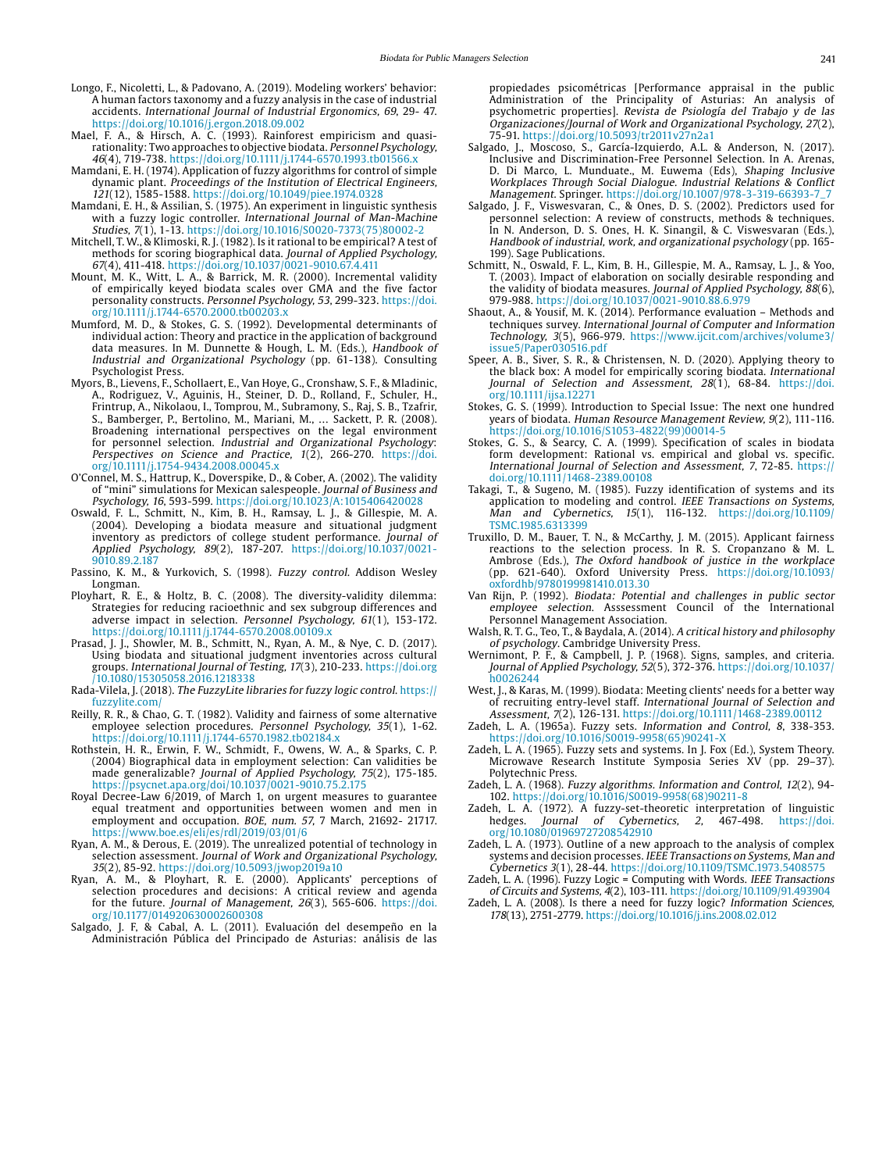- <span id="page-10-22"></span>Longo, F., Nicoletti, L., & Padovano, A. (2019). Modeling workers' behavior: A human factors taxonomy and a fuzzy analysis in the case of industrial accidents. International Journal of Industrial Ergonomics, 69, 29- 47. <https://doi.org/10.1016/j.ergon.2018.09.002>
- <span id="page-10-11"></span>Mael, F. A., & Hirsch, A. C. (1993). Rainforest empiricism and quasirationality: Two approaches to objective biodata. Personnel Psychology, 46(4), 719-738. https://doi.org/10.1111/j.1744-6570.1993.tb01566.x
- <span id="page-10-25"></span>Mamdani, E. H. (1974). Application of fuzzy algorithms for control of simple dynamic plant. Proceedings of the Institution of Electrical Engineers, 121(12), 1585-1588. https://doi.org/10.1049/piee.1974.0328
- Mamdani, E. H., & Assilian, S. (1975). An experiment in linguistic synthesis with a fuzzy logic controller. *International Journal of Man-Machine*<br>*Studies, 7*(1), 1-13. https://doi.org/10.1016/S0020-7373(75)80002-2
- <span id="page-10-12"></span>Mitchell, T. W., & Klimoski, R. J. (1982). Is it rational to be empirical? A test of methods for scoring biographical data. Journal of Applied Psychology, 67(4), 411-418. https://doi.org/10.1037/0021-9010.67.4.411
- <span id="page-10-8"></span>Mount, M. K., Witt, L. A., & Barrick, M. R. (2000). Incremental validity of empirically keyed biodata scales over GMA and the five factor personality constructs. Personnel Psychology, 53, 299-323. [https://doi.](https://doi.org/10.1111/j.1744-6570.2000.tb00203.x) [org/10.1111/j.1744-6570.2000.tb00203.x](https://doi.org/10.1111/j.1744-6570.2000.tb00203.x)
- <span id="page-10-15"></span>Mumford, M. D., & Stokes, G. S. (1992). Developmental determinants of individual action: Theory and practice in the application of background data measures. In M. Dunnette & Hough, L. M. (Eds.), Handbook of Industrial and Organizational Psychology (pp. 61-138). Consulting Psychologist Press.
- <span id="page-10-13"></span>Myors, B., Lievens, F., Schollaert, E., Van Hoye, G., Cronshaw, S. F., & Mladinic, A., Rodriguez, V., Aguinis, H., Steiner, D. D., Rolland, F., Schuler, H., Frintrup, A., Nikolaou, I., Tomprou, M., Subramony, S., Raj, S. B., Tzafrir, S., Bamberger, P., Bertolino, M., Mariani, M., … Sackett, P. R. (2008). Broadening international perspectives on the legal environment<br>for personnel selection. *Industrial and Organizational Psychology*: Perspectives on Science and Practice,  $1(\overline{2})$ , 266-270. [https://doi.](https://doi.org/10.1111/j.1754-9434.2008.00045.x) [org/10.1111/j.1754-9434.2008.00045.x](https://doi.org/10.1111/j.1754-9434.2008.00045.x)
- <span id="page-10-10"></span>O'Connel, M. S., Hattrup, K., Doverspike, D., & Cober, A. (2002). The validity of "mini" simulations for Mexican salespeople. Journal of Business and Psychology, 16, 593-599. https://doi.org/10.1023/A:1015406420028
- <span id="page-10-18"></span>Oswald, F. L., Schmitt, N., Kim, B. H., Ramsay, L. J., & Gillespie, M. A. (2004). Developing a biodata measure and situational judgment inventory as predictors of college student performance. Journal of Applied Psychology, 89(2), 187-207. https://doi.org/10.1037/0021- 9010.89.2.187
- Passino, K. M., & Yurkovich, S. (1998). Fuzzy control. Addison Wesley Longman.
- <span id="page-10-19"></span>Ployhart, R. E., & Holtz, B. C. (2008). The diversity-validity dilemma: Strategies for reducing racioethnic and sex subgroup differences and adverse impact in selection. Personnel Psychology, 61(1), 153-172. <https://doi.org/10.1111/j.1744-6570.2008.00109.x>
- <span id="page-10-17"></span>Prasad, J. J., Showler, M. B., Schmitt, N., Ryan, A. M., & Nye, C. D. (2017). Using biodata and situational judgment inventories across cultural groups. International Journal of Testing, 17(3), 210-233. [https://doi.org](https://doi.org/10.1080/15305058.2016.1218338) [/10.1080/15305058.2016.1218338](https://doi.org/10.1080/15305058.2016.1218338)
- <span id="page-10-27"></span>Rada-Vilela, J. (2018). The FuzzyLite libraries for fuzzy logic control. [https://](https://fuzzylite.com/) [fuzzylite.com/](https://fuzzylite.com/)
- <span id="page-10-6"></span>Reilly, R. R., & Chao, G. T. (1982). Validity and fairness of some alternative employee selection procedures. Personnel Psychology, 35(1), 1-62. https://doi.org/10.1111/j.1744-6570.1982.tb02184.x
- <span id="page-10-9"></span>Rothstein, H. R., Erwin, F. W., Schmidt, F., Owens, W. A., & Sparks, C. P. (2004) Biographical data in employment selection: Can validities be made generalizable? Journal of Applied Psychology, 75(2), 175-185. [https://psycnet.apa.org/doi/10.1037/0021-9010.75.2.175](https://psycnet.apa.org/doi/10.1037/0021-9010.75.2.175
)
- <span id="page-10-14"></span>Royal Decree-Law 6/2019, of March 1, on urgent measures to guarantee equal treatment and opportunities between women and men in employment and occupation. BOE, num. 57, 7 March, 21692- 21717. <https://www.boe.es/eli/es/rdl/2019/03/01/6>
- <span id="page-10-4"></span>Ryan, A. M., & Derous, E. (2019). The unrealized potential of technology in selection assessment. Journal of Work and Organizational Psychology, 35(2), 85-92. https://doi.org/10.5093/jwop2019a10
- Ryan, A. M., & Ployhart, R. E. (2000). Applicants' perceptions of selection procedures and decisions: A critical review and agenda for the future. Journal of Management, 26(3), 565-606. [https://doi.](https://doi.org/10.1177/014920630002600308) [org/10.1177/014920630002600308](https://doi.org/10.1177/014920630002600308)
- <span id="page-10-7"></span>Salgado, J. F, & Cabal, A. L. (2011). Evaluación del desempeño en la Administración Pública del Principado de Asturias: análisis de las

propiedades psicométricas [Performance appraisal in the public Administration of the Principality of Asturias: An analysis of psychometric properties]. Revista de Psiología del Trabajo y de las Organizaciones/Journal of Work and Organizational Psychology, 27(2), 75-91.<https://doi.org/10.5093/tr2011v27n2a1>

- Salgado, J., Moscoso, S., García-Izquierdo, A.L. & Anderson, N. (2017). Inclusive and Discrimination-Free Personnel Selection. In A. Arenas, D. Di Marco, L. Munduate., M. Euwema (Eds), Shaping Inclusive Workplaces Through Social Dialogue. Industrial Relations & Conflict Management. Springer. [https://doi.org/10.1007/978-3-319-66393-7\\_7](https://doi.org/10.1007/978-3-319-66393-7_7)
- Salgado, J. F., Viswesvaran, C., & Ones, D. S. (2002). Predictors used for personnel selection: A review of constructs, methods & techniques. In N. Anderson, D. S. Ones, H. K. Sinangil, & C. Viswesvaran (Eds.), Handbook of industrial, work, and organizational psychology (pp. 165- 199). Sage Publications.
- <span id="page-10-3"></span>Schmitt, N., Oswald, F. L., Kim, B. H., Gillespie, M. A., Ramsay, L. J., & Yoo, T. (2003). Impact of elaboration on socially desirable responding and the validity of biodata measures. Journal of Applied Psychology, 88(6), 979-988. https://doi.org/10.1037/0021-9010.88.6.979
- <span id="page-10-21"></span>Shaout, A., & Yousif, M. K. (2014). Performance evaluation – Methods and techniques survey. International Journal of Computer and Information Technology, 3(5), 966-979. [https://www.ijcit.com/archives/volume3/](https://www.ijcit.com/archives/volume3/issue5/Paper030516.pdf) [issue5/Paper030516.pdf](https://www.ijcit.com/archives/volume3/issue5/Paper030516.pdf)
- <span id="page-10-1"></span>Speer, A. B., Siver, S. R., & Christensen, N. D. (2020). Applying theory to the black box: A model for empirically scoring biodata. International Journal of Selection and Assessment, 28(1), 68-84. [https://doi.](https://doi.org/10.1111/ijsa.12271) [org/10.1111/ijsa.12271](https://doi.org/10.1111/ijsa.12271)
- <span id="page-10-0"></span>Stokes, G. S. (1999). Introduction to Special Issue: The next one hundred years of biodata. Human Resource Management Review, 9(2), 111-116. https://doi.org/10.1016/S1053-4822(99)00014-5
- Stokes, G. S., & Searcy, C. A. (1999). Specification of scales in biodata form development: Rational vs. empirical and global vs. specific. International Journal of Selection and Assessment, 7, 72-85. [https://](https://doi.org/10.1111/1468-2389.00108) [doi.org/10.1111/1468-2389.00108](https://doi.org/10.1111/1468-2389.00108)
- <span id="page-10-26"></span>Takagi, T., & Sugeno, M. (1985). Fuzzy identification of systems and its application to modeling and control. IEEE Transactions on Systems,<br>Man and Cybernetics, 15(1), 116-132. [https://doi.org/10.1109/](https://doi.org/10.1109/TSMC.1985.6313399) [TSMC.1985.6313399](https://doi.org/10.1109/TSMC.1985.6313399)
- <span id="page-10-20"></span>Truxillo, D. M., Bauer, T. N., & McCarthy, J. M. (2015). Applicant fairness reactions to the selection process. In R. S. Cropanzano & M. L. Ambrose (Eds.), The Oxford handbook of justice in the workplace (pp. 621-640). Oxford University Press. [https://doi.org/10.1093/](https://doi.org/10.1093/oxfordhb/9780199981410.013.30) [oxfordhb/9780199981410.013.30](https://doi.org/10.1093/oxfordhb/9780199981410.013.30)
- <span id="page-10-16"></span>Van Rijn, P. (1992). Biodata: Potential and challenges in public sector employee selection. Asssessment Council of the International Personnel Management Association.
- <span id="page-10-24"></span>Walsh, R. T. G., Teo, T., & Baydala, A. (2014). A critical history and philosophy of psychology. Cambridge University Press.
- <span id="page-10-5"></span>Wernimont, P. F., & Campbell, J. P. (1968). Signs, samples, and criteria. Journal of Applied Psychology, 52(5), 372-376. [https://doi.org/10.1037/](https://doi.org/10.1037/h0026244) [h0026244](https://doi.org/10.1037/h0026244)
- <span id="page-10-2"></span>West, J., & Karas, M. (1999). Biodata: Meeting clients' needs for a better way of recruiting entry-level staff. International Journal of Selection and Assessment, 7(2), 126-131. https://doi.org/10.1111/1468-2389.00112
- <span id="page-10-23"></span>Zadeh, L. A. (1965a). Fuzzy sets. Information and Control, 8, 338-353. https://doi.org/10.1016/S0019-9958(65)90241-X
- Zadeh, L. A. (1965). Fuzzy sets and systems. In J. Fox (Ed.), System Theory. Microwave Research Institute Symposia Series XV (pp. 29–37). Polytechnic Press.
- Zadeh, L. A. (1968). Fuzzy algorithms. Information and Control, 12(2), 94- 102. https://doi.org/10.1016/S0019-9958(68)90211-8
- Zadeh, L. A. (1972). A fuzzy-set-theoretic interpretation of linguistic<br>hedges. *Journal of Cybernetics*, 2, 467-498. https://doi. hedges. Journal of Cybernetics, 2, 467-498. [https://doi.](https://doi.org/10.1080/01969727208542910) [org/10.1080/01969727208542910](https://doi.org/10.1080/01969727208542910)
- Zadeh, L. A. (1973). Outline of a new approach to the analysis of complex systems and decision processes. IEEE Transactions on Systems, Man and
- Cybernetics 3(1), 28-44. https://doi.org/10.1109/TSMC.1973.5408575 Zadeh, L. A. (1996). Fuzzy Logic = Computing with Words. IEEE Transactions of Circuits and Systems, 4(2), 103-111. https://doi.org/10.1109/91.493904
- Zadeh, L. A. (2008). Is there a need for fuzzy logic? Information Sciences, 178(13), 2751-2779. https://doi.org/10.1016/j.ins.2008.02.012